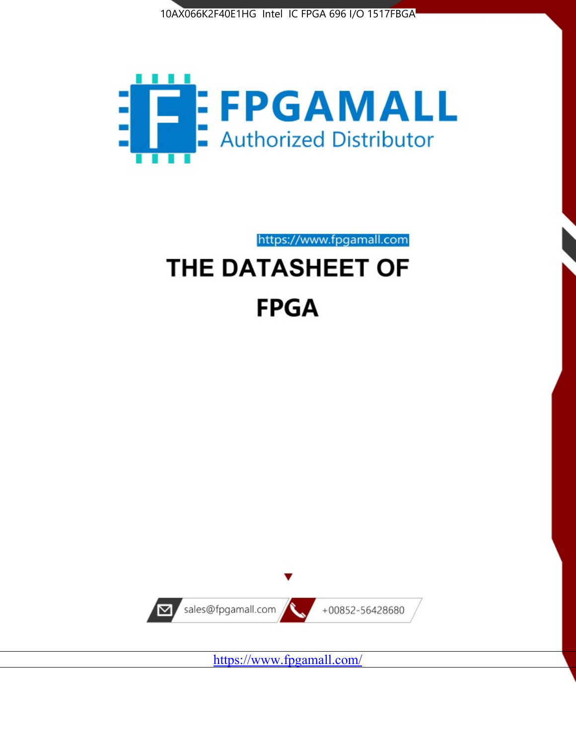



https://www.fpgamall.com THE DATASHEET OF

# **FPGA**



<https://www.fpgamall.com/>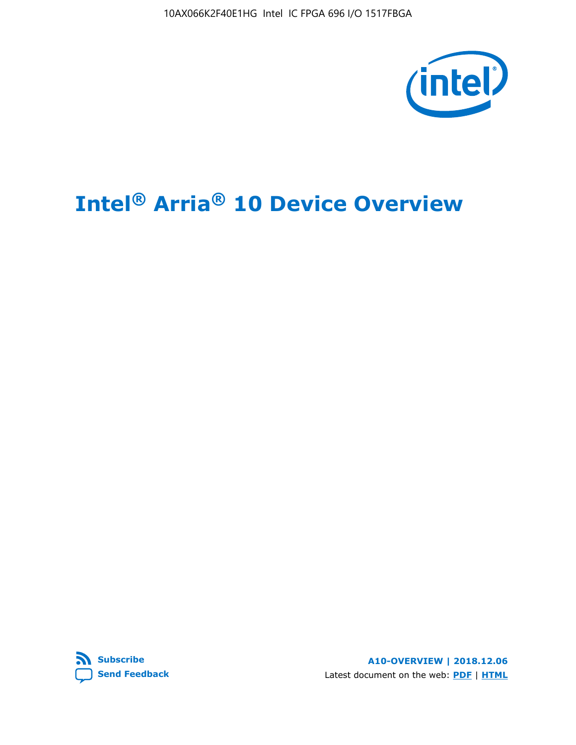10AX066K2F40E1HG Intel IC FPGA 696 I/O 1517FBGA



# **Intel® Arria® 10 Device Overview**



**A10-OVERVIEW | 2018.12.06** Latest document on the web: **[PDF](https://www.intel.com/content/dam/www/programmable/us/en/pdfs/literature/hb/arria-10/a10_overview.pdf)** | **[HTML](https://www.intel.com/content/www/us/en/programmable/documentation/sam1403480274650.html)**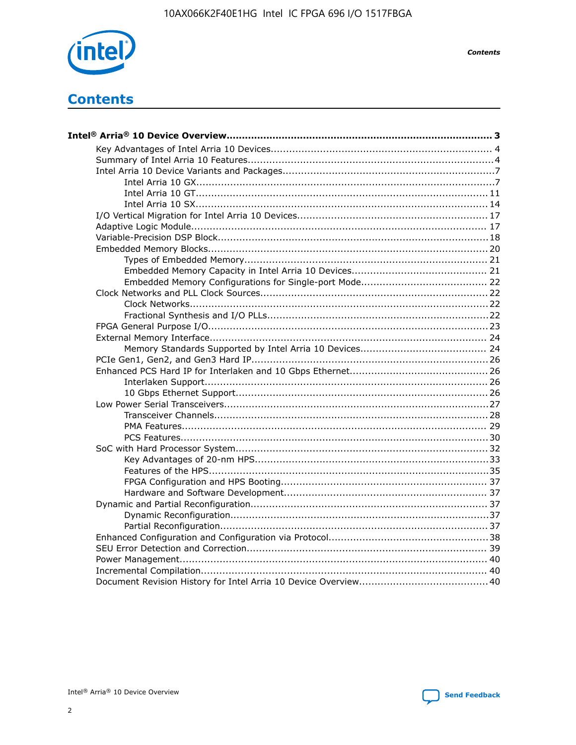

**Contents** 

# **Contents**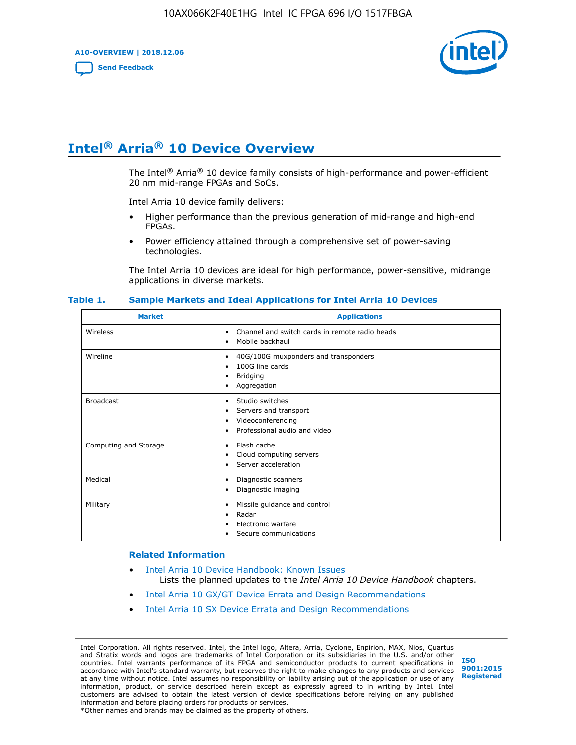**A10-OVERVIEW | 2018.12.06**

**[Send Feedback](mailto:FPGAtechdocfeedback@intel.com?subject=Feedback%20on%20Intel%20Arria%2010%20Device%20Overview%20(A10-OVERVIEW%202018.12.06)&body=We%20appreciate%20your%20feedback.%20In%20your%20comments,%20also%20specify%20the%20page%20number%20or%20paragraph.%20Thank%20you.)**



# **Intel® Arria® 10 Device Overview**

The Intel<sup>®</sup> Arria<sup>®</sup> 10 device family consists of high-performance and power-efficient 20 nm mid-range FPGAs and SoCs.

Intel Arria 10 device family delivers:

- Higher performance than the previous generation of mid-range and high-end FPGAs.
- Power efficiency attained through a comprehensive set of power-saving technologies.

The Intel Arria 10 devices are ideal for high performance, power-sensitive, midrange applications in diverse markets.

| <b>Market</b>         | <b>Applications</b>                                                                                               |
|-----------------------|-------------------------------------------------------------------------------------------------------------------|
| Wireless              | Channel and switch cards in remote radio heads<br>٠<br>Mobile backhaul<br>٠                                       |
| Wireline              | 40G/100G muxponders and transponders<br>٠<br>100G line cards<br>٠<br><b>Bridging</b><br>٠<br>Aggregation<br>٠     |
| <b>Broadcast</b>      | Studio switches<br>٠<br>Servers and transport<br>٠<br>Videoconferencing<br>٠<br>Professional audio and video<br>٠ |
| Computing and Storage | Flash cache<br>٠<br>Cloud computing servers<br>٠<br>Server acceleration<br>٠                                      |
| Medical               | Diagnostic scanners<br>٠<br>Diagnostic imaging<br>٠                                                               |
| Military              | Missile guidance and control<br>٠<br>Radar<br>٠<br>Electronic warfare<br>٠<br>Secure communications<br>٠          |

#### **Table 1. Sample Markets and Ideal Applications for Intel Arria 10 Devices**

#### **Related Information**

- [Intel Arria 10 Device Handbook: Known Issues](http://www.altera.com/support/kdb/solutions/rd07302013_646.html) Lists the planned updates to the *Intel Arria 10 Device Handbook* chapters.
- [Intel Arria 10 GX/GT Device Errata and Design Recommendations](https://www.intel.com/content/www/us/en/programmable/documentation/agz1493851706374.html#yqz1494433888646)
- [Intel Arria 10 SX Device Errata and Design Recommendations](https://www.intel.com/content/www/us/en/programmable/documentation/cru1462832385668.html#cru1462832558642)

Intel Corporation. All rights reserved. Intel, the Intel logo, Altera, Arria, Cyclone, Enpirion, MAX, Nios, Quartus and Stratix words and logos are trademarks of Intel Corporation or its subsidiaries in the U.S. and/or other countries. Intel warrants performance of its FPGA and semiconductor products to current specifications in accordance with Intel's standard warranty, but reserves the right to make changes to any products and services at any time without notice. Intel assumes no responsibility or liability arising out of the application or use of any information, product, or service described herein except as expressly agreed to in writing by Intel. Intel customers are advised to obtain the latest version of device specifications before relying on any published information and before placing orders for products or services. \*Other names and brands may be claimed as the property of others.

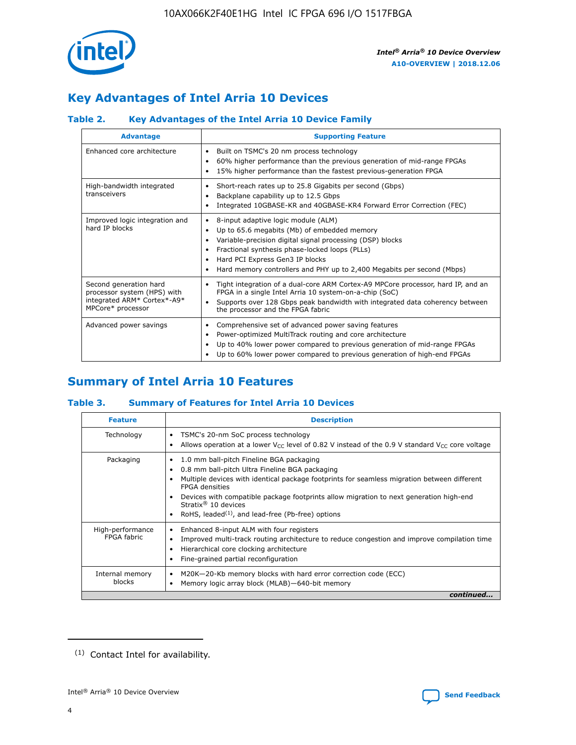

# **Key Advantages of Intel Arria 10 Devices**

# **Table 2. Key Advantages of the Intel Arria 10 Device Family**

| <b>Advantage</b>                                                                                          | <b>Supporting Feature</b>                                                                                                                                                                                                                                                                                                |  |  |  |  |  |
|-----------------------------------------------------------------------------------------------------------|--------------------------------------------------------------------------------------------------------------------------------------------------------------------------------------------------------------------------------------------------------------------------------------------------------------------------|--|--|--|--|--|
| Enhanced core architecture                                                                                | Built on TSMC's 20 nm process technology<br>٠<br>60% higher performance than the previous generation of mid-range FPGAs<br>٠<br>15% higher performance than the fastest previous-generation FPGA<br>٠                                                                                                                    |  |  |  |  |  |
| High-bandwidth integrated<br>transceivers                                                                 | Short-reach rates up to 25.8 Gigabits per second (Gbps)<br>٠<br>Backplane capability up to 12.5 Gbps<br>٠<br>Integrated 10GBASE-KR and 40GBASE-KR4 Forward Error Correction (FEC)<br>٠                                                                                                                                   |  |  |  |  |  |
| Improved logic integration and<br>hard IP blocks                                                          | 8-input adaptive logic module (ALM)<br>٠<br>Up to 65.6 megabits (Mb) of embedded memory<br>٠<br>Variable-precision digital signal processing (DSP) blocks<br>Fractional synthesis phase-locked loops (PLLs)<br>Hard PCI Express Gen3 IP blocks<br>Hard memory controllers and PHY up to 2,400 Megabits per second (Mbps) |  |  |  |  |  |
| Second generation hard<br>processor system (HPS) with<br>integrated ARM* Cortex*-A9*<br>MPCore* processor | Tight integration of a dual-core ARM Cortex-A9 MPCore processor, hard IP, and an<br>٠<br>FPGA in a single Intel Arria 10 system-on-a-chip (SoC)<br>Supports over 128 Gbps peak bandwidth with integrated data coherency between<br>$\bullet$<br>the processor and the FPGA fabric                                        |  |  |  |  |  |
| Advanced power savings                                                                                    | Comprehensive set of advanced power saving features<br>٠<br>Power-optimized MultiTrack routing and core architecture<br>٠<br>Up to 40% lower power compared to previous generation of mid-range FPGAs<br>Up to 60% lower power compared to previous generation of high-end FPGAs                                         |  |  |  |  |  |

# **Summary of Intel Arria 10 Features**

## **Table 3. Summary of Features for Intel Arria 10 Devices**

| <b>Feature</b>                  | <b>Description</b>                                                                                                                                                                                                                                                                                                                                                                                       |
|---------------------------------|----------------------------------------------------------------------------------------------------------------------------------------------------------------------------------------------------------------------------------------------------------------------------------------------------------------------------------------------------------------------------------------------------------|
| Technology                      | TSMC's 20-nm SoC process technology<br>٠<br>Allows operation at a lower $V_{\text{CC}}$ level of 0.82 V instead of the 0.9 V standard $V_{\text{CC}}$ core voltage                                                                                                                                                                                                                                       |
| Packaging                       | 1.0 mm ball-pitch Fineline BGA packaging<br>0.8 mm ball-pitch Ultra Fineline BGA packaging<br>Multiple devices with identical package footprints for seamless migration between different<br><b>FPGA</b> densities<br>Devices with compatible package footprints allow migration to next generation high-end<br>Stratix $\mathcal{R}$ 10 devices<br>RoHS, leaded $(1)$ , and lead-free (Pb-free) options |
| High-performance<br>FPGA fabric | Enhanced 8-input ALM with four registers<br>٠<br>Improved multi-track routing architecture to reduce congestion and improve compilation time<br>Hierarchical core clocking architecture<br>Fine-grained partial reconfiguration                                                                                                                                                                          |
| Internal memory<br>blocks       | M20K-20-Kb memory blocks with hard error correction code (ECC)<br>Memory logic array block (MLAB)-640-bit memory                                                                                                                                                                                                                                                                                         |
|                                 | continued                                                                                                                                                                                                                                                                                                                                                                                                |



<sup>(1)</sup> Contact Intel for availability.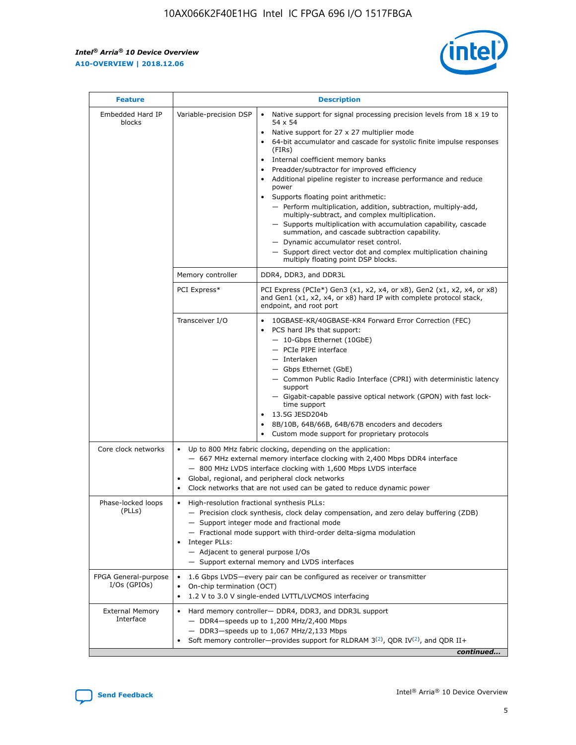$\mathbf{r}$ 



| <b>Feature</b>                         |                                                                                                        | <b>Description</b>                                                                                                                                                                                                                                                                                                                                                                                                                                                                                                                                                                                                                                                                                                                                                                                                                                                            |
|----------------------------------------|--------------------------------------------------------------------------------------------------------|-------------------------------------------------------------------------------------------------------------------------------------------------------------------------------------------------------------------------------------------------------------------------------------------------------------------------------------------------------------------------------------------------------------------------------------------------------------------------------------------------------------------------------------------------------------------------------------------------------------------------------------------------------------------------------------------------------------------------------------------------------------------------------------------------------------------------------------------------------------------------------|
| Embedded Hard IP<br>blocks             | Variable-precision DSP                                                                                 | Native support for signal processing precision levels from $18 \times 19$ to<br>$\bullet$<br>54 x 54<br>Native support for 27 x 27 multiplier mode<br>$\bullet$<br>64-bit accumulator and cascade for systolic finite impulse responses<br>$\bullet$<br>(FIRs)<br>Internal coefficient memory banks<br>$\bullet$<br>Preadder/subtractor for improved efficiency<br>Additional pipeline register to increase performance and reduce<br>power<br>Supports floating point arithmetic:<br>- Perform multiplication, addition, subtraction, multiply-add,<br>multiply-subtract, and complex multiplication.<br>- Supports multiplication with accumulation capability, cascade<br>summation, and cascade subtraction capability.<br>- Dynamic accumulator reset control.<br>- Support direct vector dot and complex multiplication chaining<br>multiply floating point DSP blocks. |
|                                        | Memory controller                                                                                      | DDR4, DDR3, and DDR3L                                                                                                                                                                                                                                                                                                                                                                                                                                                                                                                                                                                                                                                                                                                                                                                                                                                         |
|                                        | PCI Express*                                                                                           | PCI Express (PCIe*) Gen3 (x1, x2, x4, or x8), Gen2 (x1, x2, x4, or x8)<br>and Gen1 (x1, x2, x4, or x8) hard IP with complete protocol stack,<br>endpoint, and root port                                                                                                                                                                                                                                                                                                                                                                                                                                                                                                                                                                                                                                                                                                       |
|                                        | Transceiver I/O                                                                                        | 10GBASE-KR/40GBASE-KR4 Forward Error Correction (FEC)<br>PCS hard IPs that support:<br>٠<br>- 10-Gbps Ethernet (10GbE)<br>- PCIe PIPE interface<br>- Interlaken<br>- Gbps Ethernet (GbE)<br>- Common Public Radio Interface (CPRI) with deterministic latency<br>support<br>- Gigabit-capable passive optical network (GPON) with fast lock-<br>time support<br>13.5G JESD204b<br>$\bullet$<br>8B/10B, 64B/66B, 64B/67B encoders and decoders<br>$\bullet$<br>Custom mode support for proprietary protocols                                                                                                                                                                                                                                                                                                                                                                   |
| Core clock networks                    | $\bullet$                                                                                              | Up to 800 MHz fabric clocking, depending on the application:<br>- 667 MHz external memory interface clocking with 2,400 Mbps DDR4 interface<br>- 800 MHz LVDS interface clocking with 1,600 Mbps LVDS interface<br>Global, regional, and peripheral clock networks<br>Clock networks that are not used can be gated to reduce dynamic power                                                                                                                                                                                                                                                                                                                                                                                                                                                                                                                                   |
| Phase-locked loops<br>(PLLs)           | High-resolution fractional synthesis PLLs:<br>٠<br>Integer PLLs:<br>- Adjacent to general purpose I/Os | - Precision clock synthesis, clock delay compensation, and zero delay buffering (ZDB)<br>- Support integer mode and fractional mode<br>- Fractional mode support with third-order delta-sigma modulation<br>- Support external memory and LVDS interfaces                                                                                                                                                                                                                                                                                                                                                                                                                                                                                                                                                                                                                     |
| FPGA General-purpose<br>$I/Os$ (GPIOs) | On-chip termination (OCT)<br>٠                                                                         | 1.6 Gbps LVDS-every pair can be configured as receiver or transmitter<br>1.2 V to 3.0 V single-ended LVTTL/LVCMOS interfacing                                                                                                                                                                                                                                                                                                                                                                                                                                                                                                                                                                                                                                                                                                                                                 |
| <b>External Memory</b><br>Interface    | $\bullet$                                                                                              | Hard memory controller- DDR4, DDR3, and DDR3L support<br>- DDR4-speeds up to 1,200 MHz/2,400 Mbps<br>- DDR3-speeds up to 1,067 MHz/2,133 Mbps<br>Soft memory controller—provides support for RLDRAM $3^{(2)}$ , QDR IV $^{(2)}$ , and QDR II+<br>continued                                                                                                                                                                                                                                                                                                                                                                                                                                                                                                                                                                                                                    |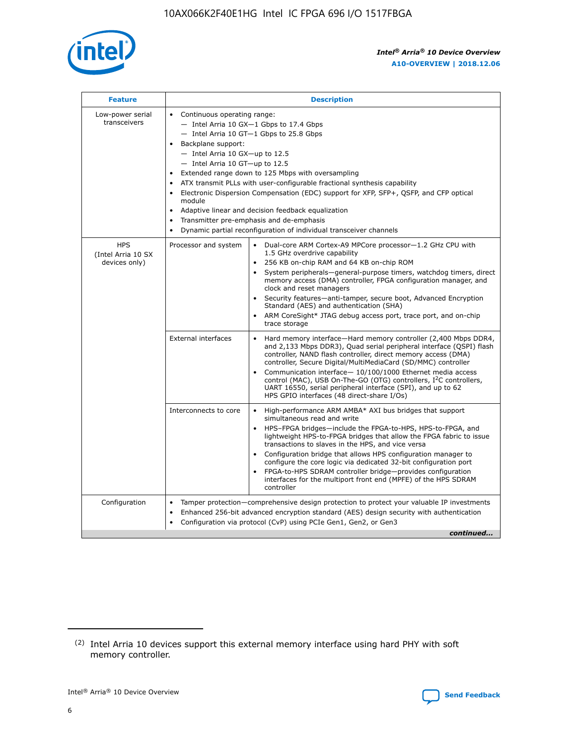

| <b>Feature</b>                                    | <b>Description</b>                                                                                                                                                                                                                                                                                                                                                                                                                                                                                                                                                                                                                             |  |  |  |  |  |  |  |
|---------------------------------------------------|------------------------------------------------------------------------------------------------------------------------------------------------------------------------------------------------------------------------------------------------------------------------------------------------------------------------------------------------------------------------------------------------------------------------------------------------------------------------------------------------------------------------------------------------------------------------------------------------------------------------------------------------|--|--|--|--|--|--|--|
| Low-power serial<br>transceivers                  | • Continuous operating range:<br>- Intel Arria 10 GX-1 Gbps to 17.4 Gbps<br>- Intel Arria 10 GT-1 Gbps to 25.8 Gbps<br>Backplane support:<br>$-$ Intel Arria 10 GX-up to 12.5<br>$-$ Intel Arria 10 GT-up to 12.5<br>Extended range down to 125 Mbps with oversampling<br>ATX transmit PLLs with user-configurable fractional synthesis capability<br>• Electronic Dispersion Compensation (EDC) support for XFP, SFP+, QSFP, and CFP optical<br>module<br>• Adaptive linear and decision feedback equalization<br>Transmitter pre-emphasis and de-emphasis<br>$\bullet$<br>Dynamic partial reconfiguration of individual transceiver channels |  |  |  |  |  |  |  |
| <b>HPS</b><br>(Intel Arria 10 SX<br>devices only) | Processor and system<br>Dual-core ARM Cortex-A9 MPCore processor-1.2 GHz CPU with<br>$\bullet$<br>1.5 GHz overdrive capability<br>256 KB on-chip RAM and 64 KB on-chip ROM<br>$\bullet$<br>System peripherals-general-purpose timers, watchdog timers, direct<br>memory access (DMA) controller, FPGA configuration manager, and<br>clock and reset managers<br>• Security features—anti-tamper, secure boot, Advanced Encryption<br>Standard (AES) and authentication (SHA)<br>ARM CoreSight* JTAG debug access port, trace port, and on-chip<br>trace storage                                                                                |  |  |  |  |  |  |  |
|                                                   | <b>External interfaces</b><br>Hard memory interface—Hard memory controller (2,400 Mbps DDR4,<br>$\bullet$<br>and 2,133 Mbps DDR3), Quad serial peripheral interface (QSPI) flash<br>controller, NAND flash controller, direct memory access (DMA)<br>controller, Secure Digital/MultiMediaCard (SD/MMC) controller<br>Communication interface-10/100/1000 Ethernet media access<br>control (MAC), USB On-The-GO (OTG) controllers, I <sup>2</sup> C controllers,<br>UART 16550, serial peripheral interface (SPI), and up to 62<br>HPS GPIO interfaces (48 direct-share I/Os)                                                                  |  |  |  |  |  |  |  |
|                                                   | High-performance ARM AMBA* AXI bus bridges that support<br>Interconnects to core<br>$\bullet$<br>simultaneous read and write<br>HPS-FPGA bridges—include the FPGA-to-HPS, HPS-to-FPGA, and<br>$\bullet$<br>lightweight HPS-to-FPGA bridges that allow the FPGA fabric to issue<br>transactions to slaves in the HPS, and vice versa<br>Configuration bridge that allows HPS configuration manager to<br>configure the core logic via dedicated 32-bit configuration port<br>FPGA-to-HPS SDRAM controller bridge-provides configuration<br>interfaces for the multiport front end (MPFE) of the HPS SDRAM<br>controller                         |  |  |  |  |  |  |  |
| Configuration                                     | Tamper protection—comprehensive design protection to protect your valuable IP investments<br>Enhanced 256-bit advanced encryption standard (AES) design security with authentication<br>$\bullet$<br>Configuration via protocol (CvP) using PCIe Gen1, Gen2, or Gen3<br>continued                                                                                                                                                                                                                                                                                                                                                              |  |  |  |  |  |  |  |

<sup>(2)</sup> Intel Arria 10 devices support this external memory interface using hard PHY with soft memory controller.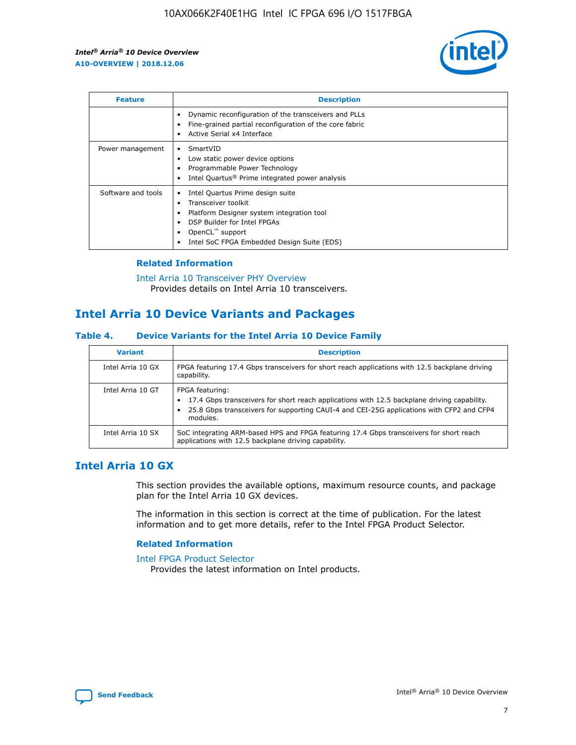

| <b>Feature</b>     | <b>Description</b>                                                                                                                                                                                               |
|--------------------|------------------------------------------------------------------------------------------------------------------------------------------------------------------------------------------------------------------|
|                    | Dynamic reconfiguration of the transceivers and PLLs<br>Fine-grained partial reconfiguration of the core fabric<br>Active Serial x4 Interface<br>$\bullet$                                                       |
| Power management   | SmartVID<br>Low static power device options<br>Programmable Power Technology<br>Intel Quartus <sup>®</sup> Prime integrated power analysis                                                                       |
| Software and tools | Intel Quartus Prime design suite<br>Transceiver toolkit<br>Platform Designer system integration tool<br>DSP Builder for Intel FPGAs<br>OpenCL <sup>™</sup> support<br>Intel SoC FPGA Embedded Design Suite (EDS) |

## **Related Information**

[Intel Arria 10 Transceiver PHY Overview](https://www.intel.com/content/www/us/en/programmable/documentation/nik1398707230472.html#nik1398706768037) Provides details on Intel Arria 10 transceivers.

# **Intel Arria 10 Device Variants and Packages**

#### **Table 4. Device Variants for the Intel Arria 10 Device Family**

| <b>Variant</b>    | <b>Description</b>                                                                                                                                                                                                     |
|-------------------|------------------------------------------------------------------------------------------------------------------------------------------------------------------------------------------------------------------------|
| Intel Arria 10 GX | FPGA featuring 17.4 Gbps transceivers for short reach applications with 12.5 backplane driving<br>capability.                                                                                                          |
| Intel Arria 10 GT | FPGA featuring:<br>17.4 Gbps transceivers for short reach applications with 12.5 backplane driving capability.<br>25.8 Gbps transceivers for supporting CAUI-4 and CEI-25G applications with CFP2 and CFP4<br>modules. |
| Intel Arria 10 SX | SoC integrating ARM-based HPS and FPGA featuring 17.4 Gbps transceivers for short reach<br>applications with 12.5 backplane driving capability.                                                                        |

# **Intel Arria 10 GX**

This section provides the available options, maximum resource counts, and package plan for the Intel Arria 10 GX devices.

The information in this section is correct at the time of publication. For the latest information and to get more details, refer to the Intel FPGA Product Selector.

#### **Related Information**

#### [Intel FPGA Product Selector](http://www.altera.com/products/selector/psg-selector.html) Provides the latest information on Intel products.

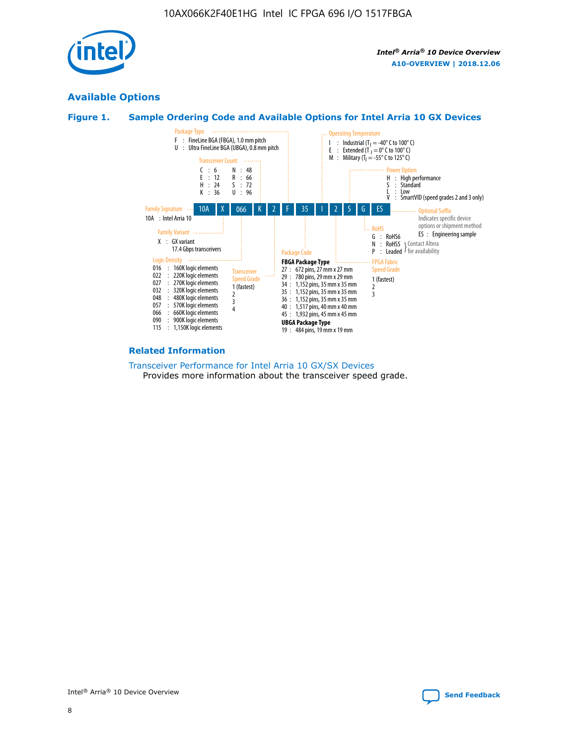

# **Available Options**





#### **Related Information**

[Transceiver Performance for Intel Arria 10 GX/SX Devices](https://www.intel.com/content/www/us/en/programmable/documentation/mcn1413182292568.html#mcn1413213965502) Provides more information about the transceiver speed grade.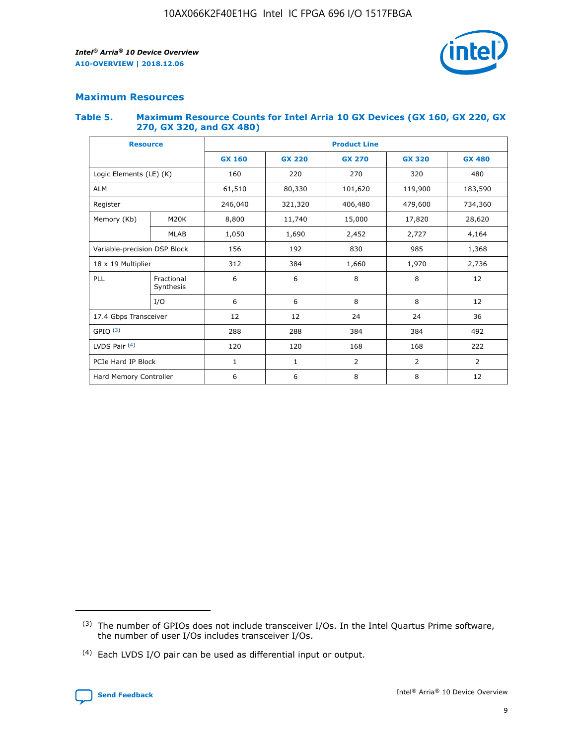

# **Maximum Resources**

#### **Table 5. Maximum Resource Counts for Intel Arria 10 GX Devices (GX 160, GX 220, GX 270, GX 320, and GX 480)**

| <b>Resource</b>              |                         | <b>Product Line</b> |                  |                    |                |                |  |  |  |
|------------------------------|-------------------------|---------------------|------------------|--------------------|----------------|----------------|--|--|--|
|                              |                         | <b>GX 160</b>       | <b>GX 220</b>    | <b>GX 270</b>      | <b>GX 320</b>  | <b>GX 480</b>  |  |  |  |
| Logic Elements (LE) (K)      |                         | 160                 | 220              | 270                | 320            | 480            |  |  |  |
| <b>ALM</b>                   |                         | 61,510              | 80,330           | 101,620            | 119,900        | 183,590        |  |  |  |
| Register                     |                         | 246,040             | 321,320          | 406,480<br>479,600 |                | 734,360        |  |  |  |
| Memory (Kb)                  | M <sub>20</sub> K       | 8,800               | 11,740<br>15,000 |                    | 17,820         | 28,620         |  |  |  |
|                              | <b>MLAB</b>             | 1,050               | 1,690            |                    | 2,452<br>2,727 |                |  |  |  |
| Variable-precision DSP Block |                         | 156                 | 192              | 830<br>985         |                | 1,368          |  |  |  |
| 18 x 19 Multiplier           |                         | 312                 | 384              | 1,970<br>1,660     |                | 2,736          |  |  |  |
| PLL                          | Fractional<br>Synthesis | 6                   | 6                | 8                  | 8              | 12             |  |  |  |
|                              | I/O                     | 6                   | 6                | 8                  | 8              | 12             |  |  |  |
| 17.4 Gbps Transceiver        |                         | 12                  | 12               | 24<br>24           |                | 36             |  |  |  |
| GPIO <sup>(3)</sup>          |                         | 288                 | 288              | 384<br>384         |                | 492            |  |  |  |
| LVDS Pair $(4)$              |                         | 120                 | 120              | 168                | 168            | 222            |  |  |  |
| PCIe Hard IP Block           |                         | 1                   | 1                | 2                  | $\overline{2}$ | $\overline{2}$ |  |  |  |
| Hard Memory Controller       |                         | 6                   | 6                | 8                  | 8              | 12             |  |  |  |

<sup>(4)</sup> Each LVDS I/O pair can be used as differential input or output.



<sup>(3)</sup> The number of GPIOs does not include transceiver I/Os. In the Intel Quartus Prime software, the number of user I/Os includes transceiver I/Os.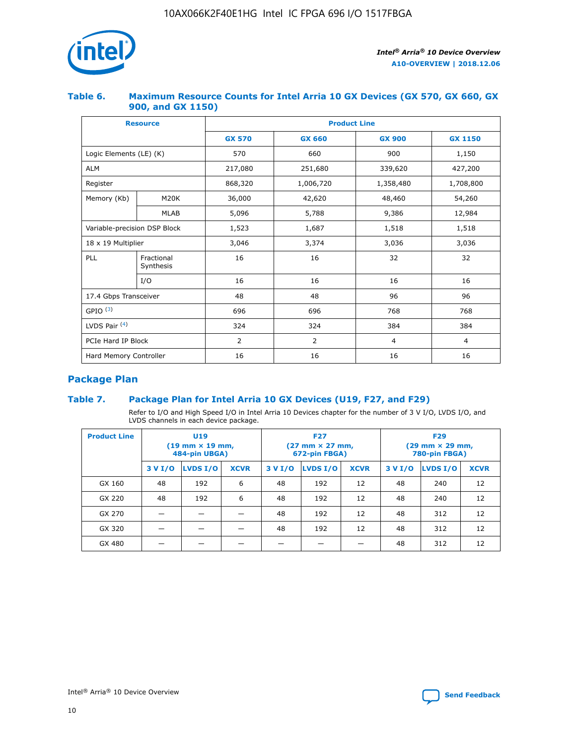

## **Table 6. Maximum Resource Counts for Intel Arria 10 GX Devices (GX 570, GX 660, GX 900, and GX 1150)**

|                              | <b>Resource</b>         | <b>Product Line</b> |                |                |                |  |  |  |
|------------------------------|-------------------------|---------------------|----------------|----------------|----------------|--|--|--|
|                              |                         | <b>GX 570</b>       | <b>GX 660</b>  | <b>GX 900</b>  | <b>GX 1150</b> |  |  |  |
| Logic Elements (LE) (K)      |                         | 570                 | 660            | 900            | 1,150          |  |  |  |
| <b>ALM</b>                   |                         | 217,080             | 251,680        | 339,620        | 427,200        |  |  |  |
| Register                     |                         | 868,320             | 1,006,720      | 1,358,480      | 1,708,800      |  |  |  |
| Memory (Kb)                  | <b>M20K</b>             | 36,000              | 42,620         | 48,460         | 54,260         |  |  |  |
|                              | <b>MLAB</b>             | 5,096               | 5,788          | 9,386          | 12,984         |  |  |  |
| Variable-precision DSP Block |                         | 1,523               | 1,687          | 1,518          | 1,518          |  |  |  |
| 18 x 19 Multiplier           |                         | 3,046               | 3,374          | 3,036          | 3,036          |  |  |  |
| PLL                          | Fractional<br>Synthesis | 16                  | 16             | 32             | 32             |  |  |  |
|                              | I/O                     | 16                  | 16             | 16             | 16             |  |  |  |
| 17.4 Gbps Transceiver        |                         | 48                  | 48             | 96             | 96             |  |  |  |
| GPIO <sup>(3)</sup>          |                         | 696                 | 696            | 768            | 768            |  |  |  |
| LVDS Pair $(4)$              |                         | 324                 | 324            | 384            | 384            |  |  |  |
| PCIe Hard IP Block           |                         | 2                   | $\overline{2}$ | $\overline{4}$ | $\overline{4}$ |  |  |  |
| Hard Memory Controller       |                         | 16                  | 16             | 16             | 16             |  |  |  |

# **Package Plan**

# **Table 7. Package Plan for Intel Arria 10 GX Devices (U19, F27, and F29)**

Refer to I/O and High Speed I/O in Intel Arria 10 Devices chapter for the number of 3 V I/O, LVDS I/O, and LVDS channels in each device package.

| <b>Product Line</b> | U <sub>19</sub><br>$(19 \text{ mm} \times 19 \text{ mm})$<br>484-pin UBGA) |          |             |         | <b>F27</b><br>(27 mm × 27 mm,<br>672-pin FBGA) |             | <b>F29</b><br>$(29 \text{ mm} \times 29 \text{ mm})$<br>780-pin FBGA) |          |             |  |
|---------------------|----------------------------------------------------------------------------|----------|-------------|---------|------------------------------------------------|-------------|-----------------------------------------------------------------------|----------|-------------|--|
|                     | 3 V I/O                                                                    | LVDS I/O | <b>XCVR</b> | 3 V I/O | <b>LVDS I/O</b>                                | <b>XCVR</b> | 3 V I/O                                                               | LVDS I/O | <b>XCVR</b> |  |
| GX 160              | 48                                                                         | 192      | 6           | 48      | 192                                            | 12          | 48                                                                    | 240      | 12          |  |
| GX 220              | 48                                                                         | 192      | 6           | 48      | 192                                            | 12          | 48                                                                    | 240      | 12          |  |
| GX 270              |                                                                            |          |             | 48      | 192                                            | 12          | 48                                                                    | 312      | 12          |  |
| GX 320              |                                                                            |          |             | 48      | 192                                            | 12          | 48                                                                    | 312      | 12          |  |
| GX 480              |                                                                            |          |             |         |                                                |             | 48                                                                    | 312      | 12          |  |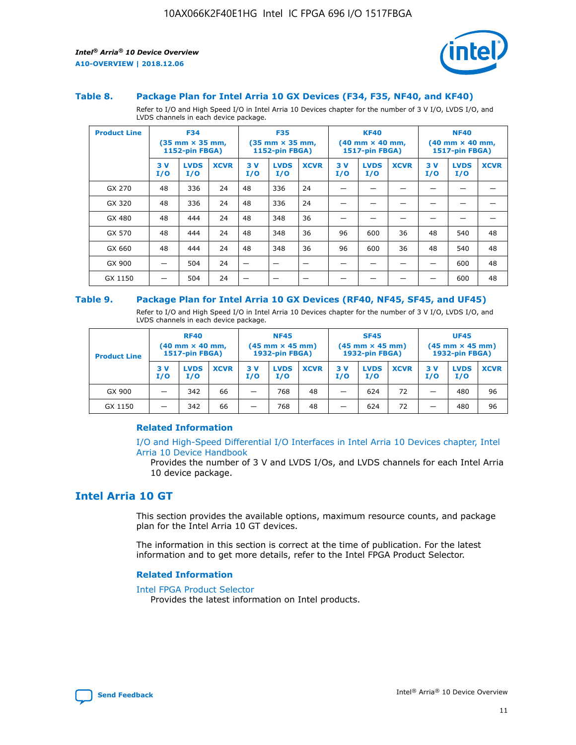

#### **Table 8. Package Plan for Intel Arria 10 GX Devices (F34, F35, NF40, and KF40)**

Refer to I/O and High Speed I/O in Intel Arria 10 Devices chapter for the number of 3 V I/O, LVDS I/O, and LVDS channels in each device package.

| <b>Product Line</b> | <b>F34</b><br>$(35 \text{ mm} \times 35 \text{ mm})$<br>1152-pin FBGA) |                    | <b>F35</b><br>$(35 \text{ mm} \times 35 \text{ mm})$<br><b>1152-pin FBGA)</b> |           | <b>KF40</b><br>$(40$ mm $\times$ 40 mm,<br>1517-pin FBGA) |             |           | <b>NF40</b><br>$(40$ mm $\times$ 40 mm,<br><b>1517-pin FBGA)</b> |             |            |                    |             |
|---------------------|------------------------------------------------------------------------|--------------------|-------------------------------------------------------------------------------|-----------|-----------------------------------------------------------|-------------|-----------|------------------------------------------------------------------|-------------|------------|--------------------|-------------|
|                     | 3V<br>I/O                                                              | <b>LVDS</b><br>I/O | <b>XCVR</b>                                                                   | 3V<br>I/O | <b>LVDS</b><br>I/O                                        | <b>XCVR</b> | 3V<br>I/O | <b>LVDS</b><br>I/O                                               | <b>XCVR</b> | 3 V<br>I/O | <b>LVDS</b><br>I/O | <b>XCVR</b> |
| GX 270              | 48                                                                     | 336                | 24                                                                            | 48        | 336                                                       | 24          |           |                                                                  |             |            |                    |             |
| GX 320              | 48                                                                     | 336                | 24                                                                            | 48        | 336                                                       | 24          |           |                                                                  |             |            |                    |             |
| GX 480              | 48                                                                     | 444                | 24                                                                            | 48        | 348                                                       | 36          |           |                                                                  |             |            |                    |             |
| GX 570              | 48                                                                     | 444                | 24                                                                            | 48        | 348                                                       | 36          | 96        | 600                                                              | 36          | 48         | 540                | 48          |
| GX 660              | 48                                                                     | 444                | 24                                                                            | 48        | 348                                                       | 36          | 96        | 600                                                              | 36          | 48         | 540                | 48          |
| GX 900              |                                                                        | 504                | 24                                                                            | -         |                                                           |             |           |                                                                  |             |            | 600                | 48          |
| GX 1150             |                                                                        | 504                | 24                                                                            |           |                                                           |             |           |                                                                  |             |            | 600                | 48          |

#### **Table 9. Package Plan for Intel Arria 10 GX Devices (RF40, NF45, SF45, and UF45)**

Refer to I/O and High Speed I/O in Intel Arria 10 Devices chapter for the number of 3 V I/O, LVDS I/O, and LVDS channels in each device package.

| <b>Product Line</b> | <b>RF40</b><br>$(40$ mm $\times$ 40 mm,<br>1517-pin FBGA) |                    | <b>NF45</b><br>$(45 \text{ mm} \times 45 \text{ mm})$<br><b>1932-pin FBGA)</b> |            |                    | <b>SF45</b><br>$(45 \text{ mm} \times 45 \text{ mm})$<br><b>1932-pin FBGA)</b> |            |                    | <b>UF45</b><br>$(45 \text{ mm} \times 45 \text{ mm})$<br><b>1932-pin FBGA)</b> |           |                    |             |
|---------------------|-----------------------------------------------------------|--------------------|--------------------------------------------------------------------------------|------------|--------------------|--------------------------------------------------------------------------------|------------|--------------------|--------------------------------------------------------------------------------|-----------|--------------------|-------------|
|                     | 3V<br>I/O                                                 | <b>LVDS</b><br>I/O | <b>XCVR</b>                                                                    | 3 V<br>I/O | <b>LVDS</b><br>I/O | <b>XCVR</b>                                                                    | 3 V<br>I/O | <b>LVDS</b><br>I/O | <b>XCVR</b>                                                                    | 3V<br>I/O | <b>LVDS</b><br>I/O | <b>XCVR</b> |
| GX 900              |                                                           | 342                | 66                                                                             | _          | 768                | 48                                                                             |            | 624                | 72                                                                             |           | 480                | 96          |
| GX 1150             |                                                           | 342                | 66                                                                             | _          | 768                | 48                                                                             |            | 624                | 72                                                                             |           | 480                | 96          |

## **Related Information**

[I/O and High-Speed Differential I/O Interfaces in Intel Arria 10 Devices chapter, Intel](https://www.intel.com/content/www/us/en/programmable/documentation/sam1403482614086.html#sam1403482030321) [Arria 10 Device Handbook](https://www.intel.com/content/www/us/en/programmable/documentation/sam1403482614086.html#sam1403482030321)

Provides the number of 3 V and LVDS I/Os, and LVDS channels for each Intel Arria 10 device package.

# **Intel Arria 10 GT**

This section provides the available options, maximum resource counts, and package plan for the Intel Arria 10 GT devices.

The information in this section is correct at the time of publication. For the latest information and to get more details, refer to the Intel FPGA Product Selector.

#### **Related Information**

#### [Intel FPGA Product Selector](http://www.altera.com/products/selector/psg-selector.html)

Provides the latest information on Intel products.

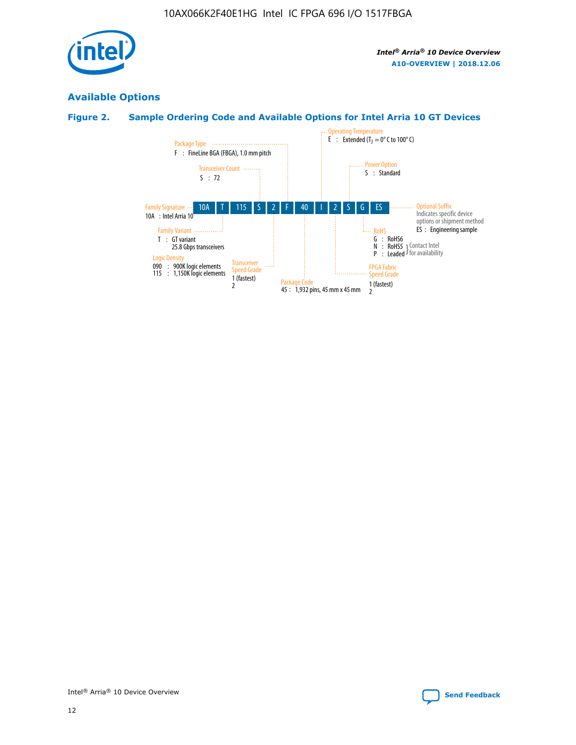

# **Available Options**

# **Figure 2. Sample Ordering Code and Available Options for Intel Arria 10 GT Devices**

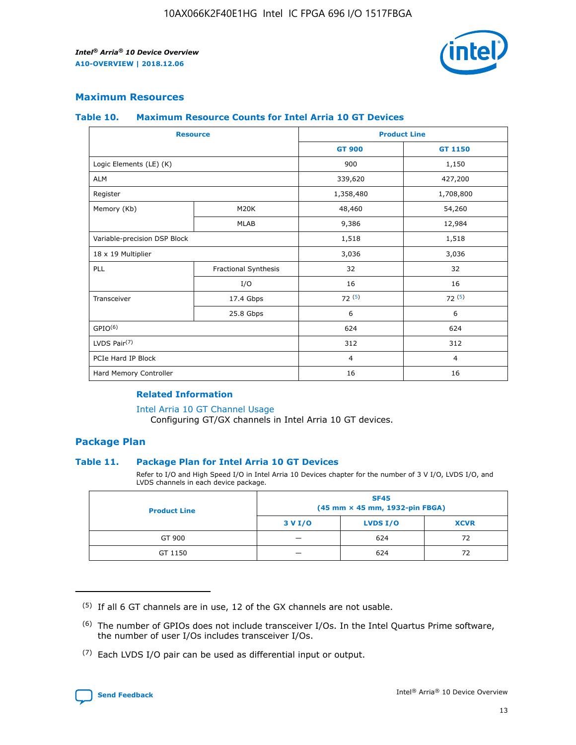

## **Maximum Resources**

#### **Table 10. Maximum Resource Counts for Intel Arria 10 GT Devices**

| <b>Resource</b>              |                      | <b>Product Line</b> |                |  |
|------------------------------|----------------------|---------------------|----------------|--|
|                              |                      | <b>GT 900</b>       | <b>GT 1150</b> |  |
| Logic Elements (LE) (K)      |                      | 900                 | 1,150          |  |
| <b>ALM</b>                   |                      | 339,620             | 427,200        |  |
| Register                     |                      | 1,358,480           | 1,708,800      |  |
| Memory (Kb)                  | M <sub>20</sub> K    | 48,460              | 54,260         |  |
|                              | <b>MLAB</b>          | 9,386               | 12,984         |  |
| Variable-precision DSP Block |                      | 1,518               | 1,518          |  |
| 18 x 19 Multiplier           |                      | 3,036               | 3,036          |  |
| <b>PLL</b>                   | Fractional Synthesis | 32                  | 32             |  |
|                              | I/O                  | 16                  | 16             |  |
| Transceiver                  | 17.4 Gbps            | 72(5)               | 72(5)          |  |
|                              | 25.8 Gbps            | 6                   | 6              |  |
| GPIO <sup>(6)</sup>          |                      | 624                 | 624            |  |
| LVDS Pair $(7)$              |                      | 312                 | 312            |  |
| PCIe Hard IP Block           |                      | $\overline{4}$      | $\overline{4}$ |  |
| Hard Memory Controller       |                      | 16                  | 16             |  |

## **Related Information**

#### [Intel Arria 10 GT Channel Usage](https://www.intel.com/content/www/us/en/programmable/documentation/nik1398707230472.html#nik1398707008178)

Configuring GT/GX channels in Intel Arria 10 GT devices.

## **Package Plan**

## **Table 11. Package Plan for Intel Arria 10 GT Devices**

Refer to I/O and High Speed I/O in Intel Arria 10 Devices chapter for the number of 3 V I/O, LVDS I/O, and LVDS channels in each device package.

| <b>Product Line</b> | <b>SF45</b><br>(45 mm × 45 mm, 1932-pin FBGA) |                 |             |  |  |  |
|---------------------|-----------------------------------------------|-----------------|-------------|--|--|--|
|                     | 3 V I/O                                       | <b>LVDS I/O</b> | <b>XCVR</b> |  |  |  |
| GT 900              |                                               | 624             | 72          |  |  |  |
| GT 1150             |                                               | 624             | 72          |  |  |  |

<sup>(7)</sup> Each LVDS I/O pair can be used as differential input or output.



 $(5)$  If all 6 GT channels are in use, 12 of the GX channels are not usable.

<sup>(6)</sup> The number of GPIOs does not include transceiver I/Os. In the Intel Quartus Prime software, the number of user I/Os includes transceiver I/Os.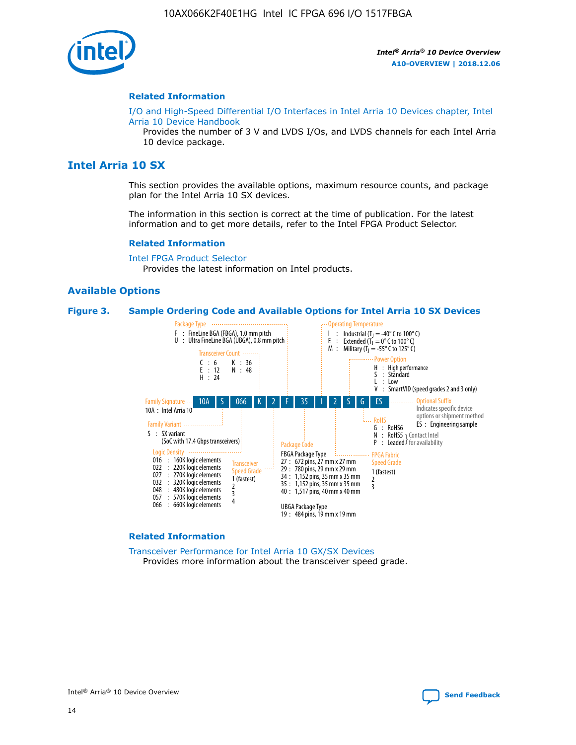

#### **Related Information**

[I/O and High-Speed Differential I/O Interfaces in Intel Arria 10 Devices chapter, Intel](https://www.intel.com/content/www/us/en/programmable/documentation/sam1403482614086.html#sam1403482030321) [Arria 10 Device Handbook](https://www.intel.com/content/www/us/en/programmable/documentation/sam1403482614086.html#sam1403482030321)

Provides the number of 3 V and LVDS I/Os, and LVDS channels for each Intel Arria 10 device package.

# **Intel Arria 10 SX**

This section provides the available options, maximum resource counts, and package plan for the Intel Arria 10 SX devices.

The information in this section is correct at the time of publication. For the latest information and to get more details, refer to the Intel FPGA Product Selector.

#### **Related Information**

[Intel FPGA Product Selector](http://www.altera.com/products/selector/psg-selector.html) Provides the latest information on Intel products.

#### **Available Options**

#### **Figure 3. Sample Ordering Code and Available Options for Intel Arria 10 SX Devices**



#### **Related Information**

[Transceiver Performance for Intel Arria 10 GX/SX Devices](https://www.intel.com/content/www/us/en/programmable/documentation/mcn1413182292568.html#mcn1413213965502) Provides more information about the transceiver speed grade.

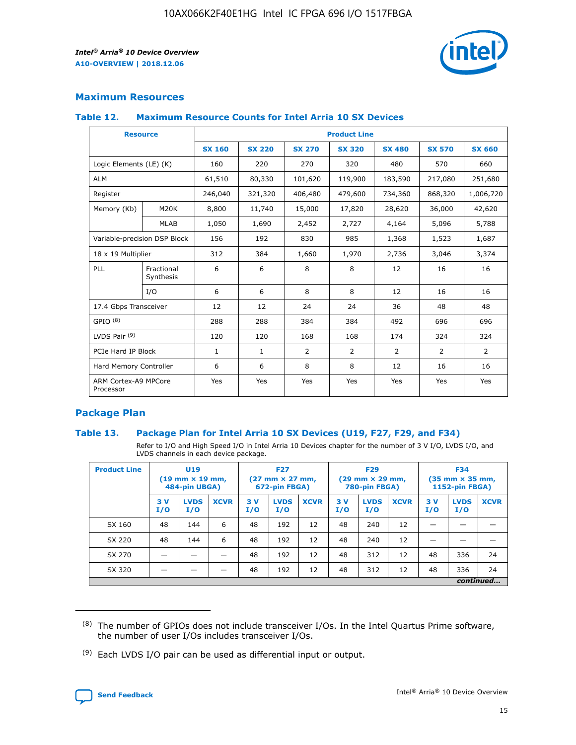

# **Maximum Resources**

#### **Table 12. Maximum Resource Counts for Intel Arria 10 SX Devices**

| <b>Resource</b>                   |                         | <b>Product Line</b> |               |                |                |               |                |               |  |  |  |
|-----------------------------------|-------------------------|---------------------|---------------|----------------|----------------|---------------|----------------|---------------|--|--|--|
|                                   |                         | <b>SX 160</b>       | <b>SX 220</b> | <b>SX 270</b>  | <b>SX 320</b>  | <b>SX 480</b> | <b>SX 570</b>  | <b>SX 660</b> |  |  |  |
| Logic Elements (LE) (K)           |                         | 160                 | 220           | 270            | 320            | 480           | 570            | 660           |  |  |  |
| <b>ALM</b>                        |                         | 61,510              | 80,330        | 101,620        | 119,900        | 183,590       | 217,080        | 251,680       |  |  |  |
| Register                          |                         | 246,040             | 321,320       | 406,480        | 479,600        | 734,360       | 868,320        | 1,006,720     |  |  |  |
| Memory (Kb)                       | <b>M20K</b>             | 8,800               | 11,740        | 15,000         | 17,820         | 28,620        | 36,000         | 42,620        |  |  |  |
|                                   | <b>MLAB</b>             | 1,050               | 1,690         | 2,452          | 2,727          | 4,164         | 5,096          | 5,788         |  |  |  |
| Variable-precision DSP Block      |                         | 156                 | 192           | 830            | 985            | 1,368         | 1,523          | 1,687         |  |  |  |
| 18 x 19 Multiplier                |                         | 312                 | 384           | 1,660          | 1,970          | 2,736         | 3,046          | 3,374         |  |  |  |
| PLL                               | Fractional<br>Synthesis | 6                   | 6             | 8              | 8              | 12            | 16             | 16            |  |  |  |
|                                   | I/O                     | 6                   | 6             | 8              | 8              | 12            | 16             | 16            |  |  |  |
| 17.4 Gbps Transceiver             |                         | 12                  | 12            | 24             | 24             | 36            | 48             | 48            |  |  |  |
| GPIO <sup>(8)</sup>               |                         | 288                 | 288           | 384            | 384            | 492           | 696            | 696           |  |  |  |
| LVDS Pair $(9)$                   |                         | 120                 | 120           | 168            | 168            | 174           | 324            | 324           |  |  |  |
| PCIe Hard IP Block                |                         | $\mathbf{1}$        | 1             | $\overline{2}$ | $\overline{2}$ | 2             | $\overline{2}$ | 2             |  |  |  |
| Hard Memory Controller            |                         | 6                   | 6             | 8              | 8              | 12            | 16             | 16            |  |  |  |
| ARM Cortex-A9 MPCore<br>Processor |                         | Yes                 | Yes           | Yes            | Yes            | Yes           | Yes            | Yes           |  |  |  |

# **Package Plan**

## **Table 13. Package Plan for Intel Arria 10 SX Devices (U19, F27, F29, and F34)**

Refer to I/O and High Speed I/O in Intel Arria 10 Devices chapter for the number of 3 V I/O, LVDS I/O, and LVDS channels in each device package.

| <b>Product Line</b> | U <sub>19</sub><br>$(19 \text{ mm} \times 19 \text{ mm})$ .<br>484-pin UBGA) |                    |             | <b>F27</b><br>$(27 \text{ mm} \times 27 \text{ mm})$<br>672-pin FBGA) |                    | <b>F29</b><br>$(29 \text{ mm} \times 29 \text{ mm})$<br>780-pin FBGA) |           |                    | <b>F34</b><br>$(35 \text{ mm} \times 35 \text{ mm})$<br><b>1152-pin FBGA)</b> |           |                    |             |
|---------------------|------------------------------------------------------------------------------|--------------------|-------------|-----------------------------------------------------------------------|--------------------|-----------------------------------------------------------------------|-----------|--------------------|-------------------------------------------------------------------------------|-----------|--------------------|-------------|
|                     | 3V<br>I/O                                                                    | <b>LVDS</b><br>I/O | <b>XCVR</b> | 3V<br>I/O                                                             | <b>LVDS</b><br>I/O | <b>XCVR</b>                                                           | 3V<br>I/O | <b>LVDS</b><br>I/O | <b>XCVR</b>                                                                   | 3V<br>I/O | <b>LVDS</b><br>I/O | <b>XCVR</b> |
| SX 160              | 48                                                                           | 144                | 6           | 48                                                                    | 192                | 12                                                                    | 48        | 240                | 12                                                                            |           |                    |             |
| SX 220              | 48                                                                           | 144                | 6           | 48                                                                    | 192                | 12                                                                    | 48        | 240                | 12                                                                            |           |                    |             |
| SX 270              |                                                                              |                    |             | 48                                                                    | 192                | 12                                                                    | 48        | 312                | 12                                                                            | 48        | 336                | 24          |
| SX 320              |                                                                              |                    |             | 48                                                                    | 192                | 12                                                                    | 48        | 312                | 12                                                                            | 48        | 336                | 24          |
|                     | continued                                                                    |                    |             |                                                                       |                    |                                                                       |           |                    |                                                                               |           |                    |             |

 $(8)$  The number of GPIOs does not include transceiver I/Os. In the Intel Quartus Prime software, the number of user I/Os includes transceiver I/Os.

 $(9)$  Each LVDS I/O pair can be used as differential input or output.

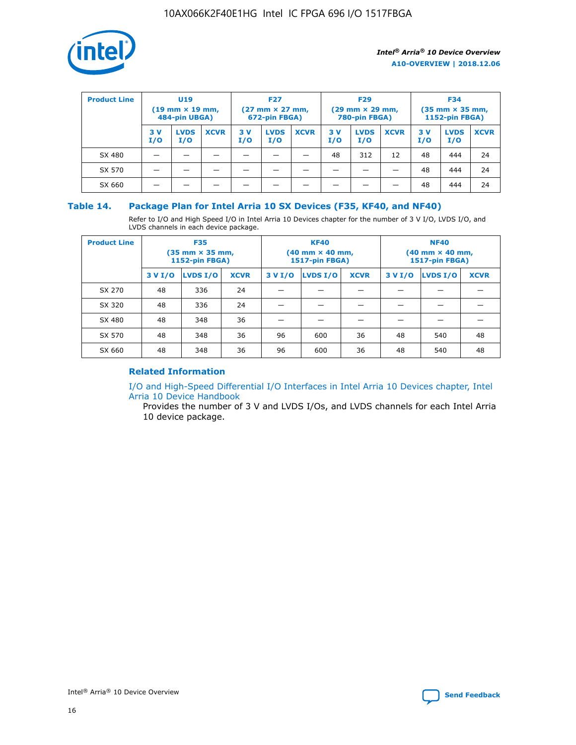

| <b>Product Line</b> | U <sub>19</sub><br>$(19 \text{ mm} \times 19 \text{ mm})$<br>484-pin UBGA) |                    | <b>F27</b><br>$(27 \text{ mm} \times 27 \text{ mm})$<br>672-pin FBGA) |           | <b>F29</b><br>$(29 \text{ mm} \times 29 \text{ mm})$<br>780-pin FBGA) |             |           | <b>F34</b><br>$(35$ mm $\times$ 35 mm,<br><b>1152-pin FBGA)</b> |             |           |                    |             |
|---------------------|----------------------------------------------------------------------------|--------------------|-----------------------------------------------------------------------|-----------|-----------------------------------------------------------------------|-------------|-----------|-----------------------------------------------------------------|-------------|-----------|--------------------|-------------|
|                     | 3V<br>I/O                                                                  | <b>LVDS</b><br>I/O | <b>XCVR</b>                                                           | 3V<br>I/O | <b>LVDS</b><br>I/O                                                    | <b>XCVR</b> | 3V<br>I/O | <b>LVDS</b><br>I/O                                              | <b>XCVR</b> | 3V<br>I/O | <b>LVDS</b><br>I/O | <b>XCVR</b> |
| SX 480              |                                                                            |                    |                                                                       |           |                                                                       |             | 48        | 312                                                             | 12          | 48        | 444                | 24          |
| SX 570              |                                                                            |                    |                                                                       |           |                                                                       |             |           |                                                                 |             | 48        | 444                | 24          |
| SX 660              |                                                                            |                    |                                                                       |           |                                                                       |             |           |                                                                 |             | 48        | 444                | 24          |

## **Table 14. Package Plan for Intel Arria 10 SX Devices (F35, KF40, and NF40)**

Refer to I/O and High Speed I/O in Intel Arria 10 Devices chapter for the number of 3 V I/O, LVDS I/O, and LVDS channels in each device package.

| <b>Product Line</b> | <b>F35</b><br>$(35 \text{ mm} \times 35 \text{ mm})$<br><b>1152-pin FBGA)</b> |          |             |                                           | <b>KF40</b><br>(40 mm × 40 mm,<br>1517-pin FBGA) |    | <b>NF40</b><br>$(40 \text{ mm} \times 40 \text{ mm})$<br>1517-pin FBGA) |          |             |  |
|---------------------|-------------------------------------------------------------------------------|----------|-------------|-------------------------------------------|--------------------------------------------------|----|-------------------------------------------------------------------------|----------|-------------|--|
|                     | 3 V I/O                                                                       | LVDS I/O | <b>XCVR</b> | <b>LVDS I/O</b><br><b>XCVR</b><br>3 V I/O |                                                  |    | 3 V I/O                                                                 | LVDS I/O | <b>XCVR</b> |  |
| SX 270              | 48                                                                            | 336      | 24          |                                           |                                                  |    |                                                                         |          |             |  |
| SX 320              | 48                                                                            | 336      | 24          |                                           |                                                  |    |                                                                         |          |             |  |
| SX 480              | 48                                                                            | 348      | 36          |                                           |                                                  |    |                                                                         |          |             |  |
| SX 570              | 48                                                                            | 348      | 36          | 96                                        | 600                                              | 36 | 48                                                                      | 540      | 48          |  |
| SX 660              | 48                                                                            | 348      | 36          | 96                                        | 600                                              | 36 | 48                                                                      | 540      | 48          |  |

# **Related Information**

[I/O and High-Speed Differential I/O Interfaces in Intel Arria 10 Devices chapter, Intel](https://www.intel.com/content/www/us/en/programmable/documentation/sam1403482614086.html#sam1403482030321) [Arria 10 Device Handbook](https://www.intel.com/content/www/us/en/programmable/documentation/sam1403482614086.html#sam1403482030321)

Provides the number of 3 V and LVDS I/Os, and LVDS channels for each Intel Arria 10 device package.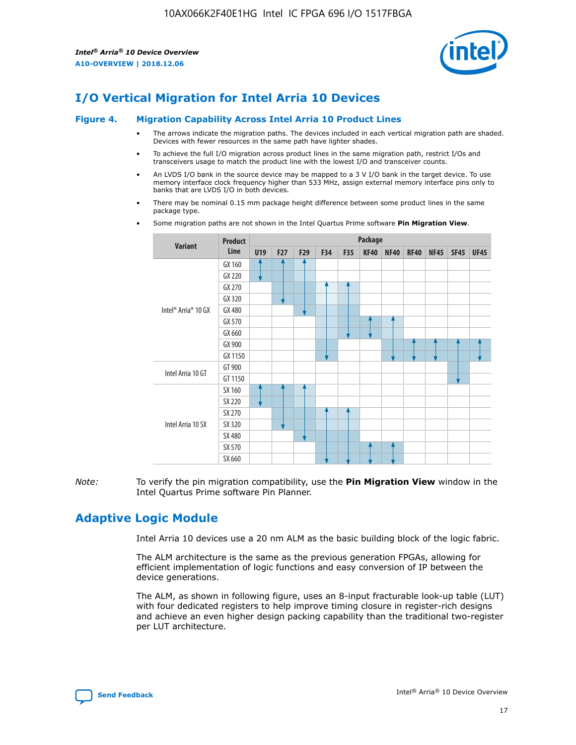

# **I/O Vertical Migration for Intel Arria 10 Devices**

#### **Figure 4. Migration Capability Across Intel Arria 10 Product Lines**

- The arrows indicate the migration paths. The devices included in each vertical migration path are shaded. Devices with fewer resources in the same path have lighter shades.
- To achieve the full I/O migration across product lines in the same migration path, restrict I/Os and transceivers usage to match the product line with the lowest I/O and transceiver counts.
- An LVDS I/O bank in the source device may be mapped to a 3 V I/O bank in the target device. To use memory interface clock frequency higher than 533 MHz, assign external memory interface pins only to banks that are LVDS I/O in both devices.
- There may be nominal 0.15 mm package height difference between some product lines in the same package type.
	- **Variant Product Line Package U19 F27 F29 F34 F35 KF40 NF40 RF40 NF45 SF45 UF45** Intel® Arria® 10 GX GX 160 GX 220 GX 270 GX 320 GX 480 GX 570 GX 660 GX 900 GX 1150 Intel Arria 10 GT GT 900 GT 1150 Intel Arria 10 SX SX 160 SX 220 SX 270 SX 320 SX 480 SX 570 SX 660
- Some migration paths are not shown in the Intel Quartus Prime software **Pin Migration View**.

*Note:* To verify the pin migration compatibility, use the **Pin Migration View** window in the Intel Quartus Prime software Pin Planner.

# **Adaptive Logic Module**

Intel Arria 10 devices use a 20 nm ALM as the basic building block of the logic fabric.

The ALM architecture is the same as the previous generation FPGAs, allowing for efficient implementation of logic functions and easy conversion of IP between the device generations.

The ALM, as shown in following figure, uses an 8-input fracturable look-up table (LUT) with four dedicated registers to help improve timing closure in register-rich designs and achieve an even higher design packing capability than the traditional two-register per LUT architecture.

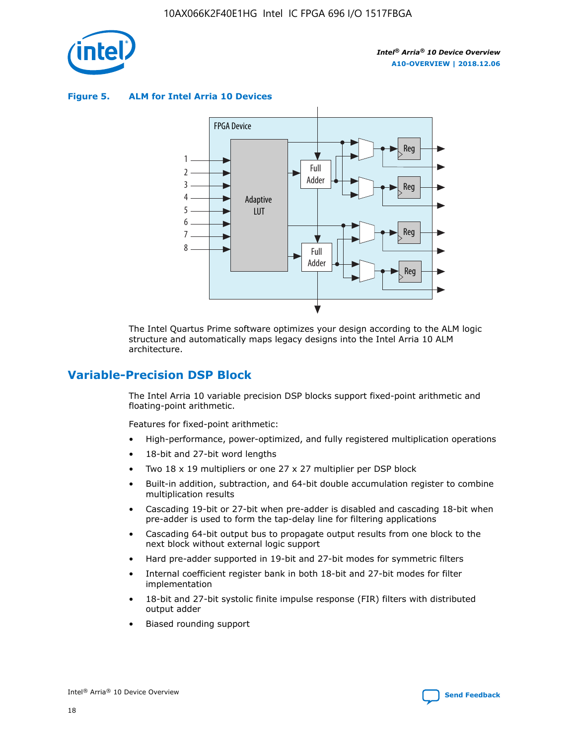

**Figure 5. ALM for Intel Arria 10 Devices**



The Intel Quartus Prime software optimizes your design according to the ALM logic structure and automatically maps legacy designs into the Intel Arria 10 ALM architecture.

# **Variable-Precision DSP Block**

The Intel Arria 10 variable precision DSP blocks support fixed-point arithmetic and floating-point arithmetic.

Features for fixed-point arithmetic:

- High-performance, power-optimized, and fully registered multiplication operations
- 18-bit and 27-bit word lengths
- Two 18 x 19 multipliers or one 27 x 27 multiplier per DSP block
- Built-in addition, subtraction, and 64-bit double accumulation register to combine multiplication results
- Cascading 19-bit or 27-bit when pre-adder is disabled and cascading 18-bit when pre-adder is used to form the tap-delay line for filtering applications
- Cascading 64-bit output bus to propagate output results from one block to the next block without external logic support
- Hard pre-adder supported in 19-bit and 27-bit modes for symmetric filters
- Internal coefficient register bank in both 18-bit and 27-bit modes for filter implementation
- 18-bit and 27-bit systolic finite impulse response (FIR) filters with distributed output adder
- Biased rounding support

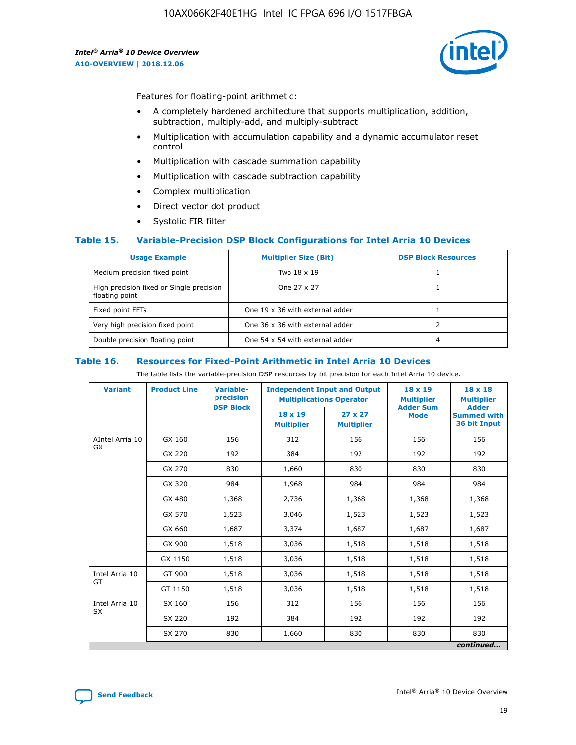

Features for floating-point arithmetic:

- A completely hardened architecture that supports multiplication, addition, subtraction, multiply-add, and multiply-subtract
- Multiplication with accumulation capability and a dynamic accumulator reset control
- Multiplication with cascade summation capability
- Multiplication with cascade subtraction capability
- Complex multiplication
- Direct vector dot product
- Systolic FIR filter

## **Table 15. Variable-Precision DSP Block Configurations for Intel Arria 10 Devices**

| <b>Usage Example</b>                                       | <b>Multiplier Size (Bit)</b>    | <b>DSP Block Resources</b> |
|------------------------------------------------------------|---------------------------------|----------------------------|
| Medium precision fixed point                               | Two 18 x 19                     |                            |
| High precision fixed or Single precision<br>floating point | One 27 x 27                     |                            |
| Fixed point FFTs                                           | One 19 x 36 with external adder |                            |
| Very high precision fixed point                            | One 36 x 36 with external adder |                            |
| Double precision floating point                            | One 54 x 54 with external adder | 4                          |

#### **Table 16. Resources for Fixed-Point Arithmetic in Intel Arria 10 Devices**

The table lists the variable-precision DSP resources by bit precision for each Intel Arria 10 device.

| <b>Variant</b>  | <b>Product Line</b> | <b>Variable-</b><br>precision<br><b>DSP Block</b> | <b>Independent Input and Output</b><br><b>Multiplications Operator</b> |                                     | 18 x 19<br><b>Multiplier</b><br><b>Adder Sum</b> | $18 \times 18$<br><b>Multiplier</b><br><b>Adder</b> |
|-----------------|---------------------|---------------------------------------------------|------------------------------------------------------------------------|-------------------------------------|--------------------------------------------------|-----------------------------------------------------|
|                 |                     |                                                   | 18 x 19<br><b>Multiplier</b>                                           | $27 \times 27$<br><b>Multiplier</b> | <b>Mode</b>                                      | <b>Summed with</b><br>36 bit Input                  |
| AIntel Arria 10 | GX 160              | 156                                               | 312                                                                    | 156                                 | 156                                              | 156                                                 |
| GX              | GX 220              | 192                                               | 384                                                                    | 192                                 | 192                                              | 192                                                 |
|                 | GX 270              | 830                                               | 1,660                                                                  | 830                                 | 830                                              | 830                                                 |
|                 | GX 320              | 984                                               | 1,968                                                                  | 984                                 | 984                                              | 984                                                 |
|                 | GX 480              | 1,368                                             | 2,736                                                                  | 1,368                               | 1,368                                            | 1,368                                               |
|                 | GX 570              | 1,523                                             | 3,046                                                                  | 1,523                               | 1,523                                            | 1,523                                               |
|                 | GX 660              | 1,687                                             | 3,374                                                                  | 1,687                               | 1,687                                            | 1,687                                               |
|                 | GX 900              | 1,518                                             | 3,036                                                                  | 1,518                               | 1,518                                            | 1,518                                               |
|                 | GX 1150             | 1,518                                             | 3,036                                                                  | 1,518                               | 1,518                                            | 1,518                                               |
| Intel Arria 10  | GT 900              | 1,518                                             | 3,036                                                                  | 1,518                               | 1,518                                            | 1,518                                               |
| GT              | GT 1150             | 1,518                                             | 3,036                                                                  | 1,518                               | 1,518                                            | 1,518                                               |
| Intel Arria 10  | SX 160              | 156                                               | 312                                                                    | 156                                 | 156                                              | 156                                                 |
| <b>SX</b>       | SX 220              | 192                                               | 384                                                                    | 192                                 | 192                                              | 192                                                 |
|                 | SX 270              | 830                                               | 1,660                                                                  | 830                                 | 830                                              | 830                                                 |
|                 |                     |                                                   |                                                                        |                                     |                                                  | continued                                           |

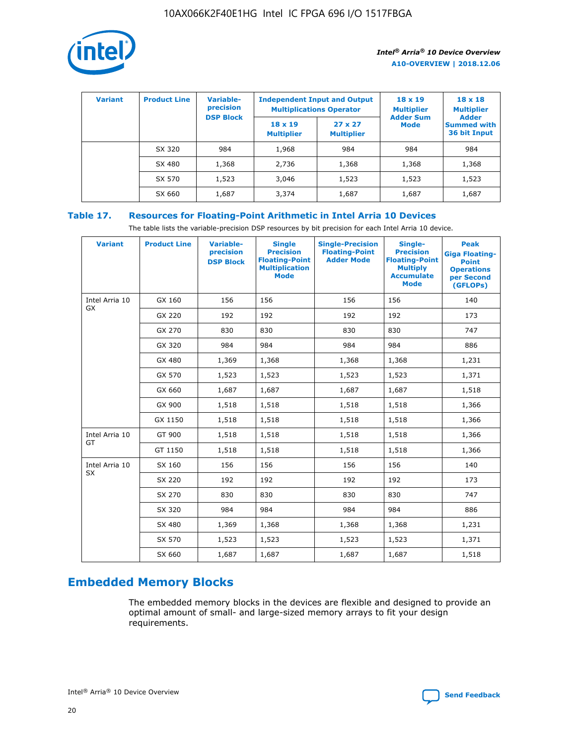

| <b>Variant</b> | <b>Product Line</b> | <b>Variable-</b><br>precision<br><b>DSP Block</b> | <b>Independent Input and Output</b><br><b>Multiplications Operator</b> |                                     | $18 \times 19$<br><b>Multiplier</b><br><b>Adder Sum</b> | $18 \times 18$<br><b>Multiplier</b><br><b>Adder</b> |  |
|----------------|---------------------|---------------------------------------------------|------------------------------------------------------------------------|-------------------------------------|---------------------------------------------------------|-----------------------------------------------------|--|
|                |                     |                                                   | $18 \times 19$<br><b>Multiplier</b>                                    | $27 \times 27$<br><b>Multiplier</b> | <b>Mode</b>                                             | <b>Summed with</b><br>36 bit Input                  |  |
|                | SX 320              | 984                                               | 1,968                                                                  | 984                                 | 984                                                     | 984                                                 |  |
|                | SX 480              | 1,368                                             | 2,736                                                                  | 1,368                               | 1,368                                                   | 1,368                                               |  |
|                | SX 570              | 1,523                                             | 3,046                                                                  | 1,523                               | 1,523                                                   | 1,523                                               |  |
|                | SX 660              | 1,687                                             | 3,374                                                                  | 1,687                               | 1,687                                                   | 1,687                                               |  |

# **Table 17. Resources for Floating-Point Arithmetic in Intel Arria 10 Devices**

The table lists the variable-precision DSP resources by bit precision for each Intel Arria 10 device.

| <b>Variant</b> | <b>Product Line</b> | <b>Variable-</b><br>precision<br><b>DSP Block</b> | <b>Single</b><br><b>Precision</b><br><b>Floating-Point</b><br><b>Multiplication</b><br><b>Mode</b> | <b>Single-Precision</b><br><b>Floating-Point</b><br><b>Adder Mode</b> | Single-<br><b>Precision</b><br><b>Floating-Point</b><br><b>Multiply</b><br><b>Accumulate</b><br><b>Mode</b> | <b>Peak</b><br><b>Giga Floating-</b><br><b>Point</b><br><b>Operations</b><br>per Second<br>(GFLOPs) |
|----------------|---------------------|---------------------------------------------------|----------------------------------------------------------------------------------------------------|-----------------------------------------------------------------------|-------------------------------------------------------------------------------------------------------------|-----------------------------------------------------------------------------------------------------|
| Intel Arria 10 | GX 160              | 156                                               | 156                                                                                                | 156                                                                   | 156                                                                                                         | 140                                                                                                 |
| GX             | GX 220              | 192                                               | 192                                                                                                | 192                                                                   | 192                                                                                                         | 173                                                                                                 |
|                | GX 270              | 830                                               | 830                                                                                                | 830                                                                   | 830                                                                                                         | 747                                                                                                 |
|                | GX 320              | 984                                               | 984                                                                                                | 984                                                                   | 984                                                                                                         | 886                                                                                                 |
|                | GX 480              | 1,369                                             | 1,368                                                                                              | 1,368                                                                 | 1,368                                                                                                       | 1,231                                                                                               |
|                | GX 570              | 1,523                                             | 1,523                                                                                              | 1,523                                                                 | 1,523                                                                                                       | 1,371                                                                                               |
|                | GX 660              | 1,687                                             | 1,687                                                                                              | 1,687                                                                 | 1,687                                                                                                       | 1,518                                                                                               |
|                | GX 900              | 1,518                                             | 1,518                                                                                              | 1,518                                                                 | 1,518                                                                                                       | 1,366                                                                                               |
|                | GX 1150             | 1,518                                             | 1,518                                                                                              | 1,518                                                                 | 1,518                                                                                                       | 1,366                                                                                               |
| Intel Arria 10 | GT 900              | 1,518                                             | 1,518                                                                                              | 1,518                                                                 | 1,518                                                                                                       | 1,366                                                                                               |
| GT             | GT 1150             | 1,518                                             | 1,518                                                                                              | 1,518                                                                 | 1,518                                                                                                       | 1,366                                                                                               |
| Intel Arria 10 | SX 160              | 156                                               | 156                                                                                                | 156                                                                   | 156                                                                                                         | 140                                                                                                 |
| <b>SX</b>      | SX 220              | 192                                               | 192                                                                                                | 192                                                                   | 192                                                                                                         | 173                                                                                                 |
|                | SX 270              | 830                                               | 830                                                                                                | 830                                                                   | 830                                                                                                         | 747                                                                                                 |
|                | SX 320              | 984                                               | 984                                                                                                | 984                                                                   | 984                                                                                                         | 886                                                                                                 |
|                | SX 480              | 1,369                                             | 1,368                                                                                              | 1,368                                                                 | 1,368                                                                                                       | 1,231                                                                                               |
|                | SX 570              | 1,523                                             | 1,523                                                                                              | 1,523                                                                 | 1,523                                                                                                       | 1,371                                                                                               |
|                | SX 660              | 1,687                                             | 1,687                                                                                              | 1,687                                                                 | 1,687                                                                                                       | 1,518                                                                                               |

# **Embedded Memory Blocks**

The embedded memory blocks in the devices are flexible and designed to provide an optimal amount of small- and large-sized memory arrays to fit your design requirements.

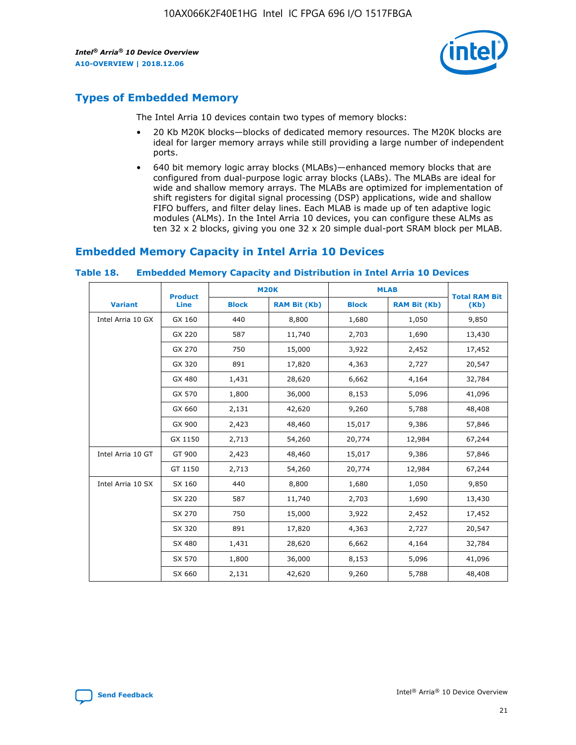

# **Types of Embedded Memory**

The Intel Arria 10 devices contain two types of memory blocks:

- 20 Kb M20K blocks—blocks of dedicated memory resources. The M20K blocks are ideal for larger memory arrays while still providing a large number of independent ports.
- 640 bit memory logic array blocks (MLABs)—enhanced memory blocks that are configured from dual-purpose logic array blocks (LABs). The MLABs are ideal for wide and shallow memory arrays. The MLABs are optimized for implementation of shift registers for digital signal processing (DSP) applications, wide and shallow FIFO buffers, and filter delay lines. Each MLAB is made up of ten adaptive logic modules (ALMs). In the Intel Arria 10 devices, you can configure these ALMs as ten 32 x 2 blocks, giving you one 32 x 20 simple dual-port SRAM block per MLAB.

# **Embedded Memory Capacity in Intel Arria 10 Devices**

|                   | <b>Product</b> |              | <b>M20K</b>         |              | <b>MLAB</b>         | <b>Total RAM Bit</b> |
|-------------------|----------------|--------------|---------------------|--------------|---------------------|----------------------|
| <b>Variant</b>    | Line           | <b>Block</b> | <b>RAM Bit (Kb)</b> | <b>Block</b> | <b>RAM Bit (Kb)</b> | (Kb)                 |
| Intel Arria 10 GX | GX 160         | 440          | 8,800               | 1,680        | 1,050               | 9,850                |
|                   | GX 220         | 587          | 11,740              | 2,703        | 1,690               | 13,430               |
|                   | GX 270         | 750          | 15,000              | 3,922        | 2,452               | 17,452               |
|                   | GX 320         | 891          | 17,820              | 4,363        | 2,727               | 20,547               |
|                   | GX 480         | 1,431        | 28,620              | 6,662        | 4,164               | 32,784               |
|                   | GX 570         | 1,800        | 36,000              | 8,153        | 5,096               | 41,096               |
|                   | GX 660         | 2,131        | 42,620              | 9,260        | 5,788               | 48,408               |
|                   | GX 900         | 2,423        | 48,460              | 15,017       | 9,386               | 57,846               |
|                   | GX 1150        | 2,713        | 54,260              | 20,774       | 12,984              | 67,244               |
| Intel Arria 10 GT | GT 900         | 2,423        | 48,460              | 15,017       | 9,386               | 57,846               |
|                   | GT 1150        | 2,713        | 54,260              | 20,774       | 12,984              | 67,244               |
| Intel Arria 10 SX | SX 160         | 440          | 8,800               | 1,680        | 1,050               | 9,850                |
|                   | SX 220         | 587          | 11,740              | 2,703        | 1,690               | 13,430               |
|                   | SX 270         | 750          | 15,000              | 3,922        | 2,452               | 17,452               |
|                   | SX 320         | 891          | 17,820              | 4,363        | 2,727               | 20,547               |
|                   | SX 480         | 1,431        | 28,620              | 6,662        | 4,164               | 32,784               |
|                   | SX 570         | 1,800        | 36,000              | 8,153        | 5,096               | 41,096               |
|                   | SX 660         | 2,131        | 42,620              | 9,260        | 5,788               | 48,408               |

#### **Table 18. Embedded Memory Capacity and Distribution in Intel Arria 10 Devices**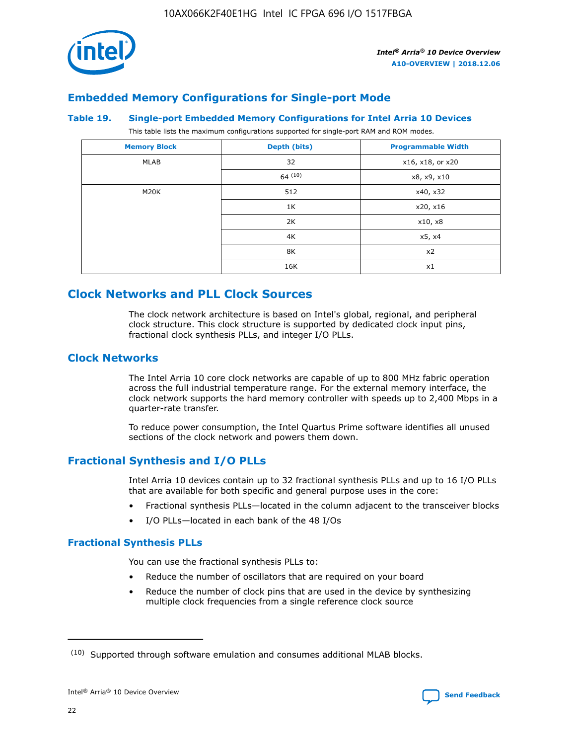

# **Embedded Memory Configurations for Single-port Mode**

#### **Table 19. Single-port Embedded Memory Configurations for Intel Arria 10 Devices**

This table lists the maximum configurations supported for single-port RAM and ROM modes.

| <b>Memory Block</b> | Depth (bits) | <b>Programmable Width</b> |
|---------------------|--------------|---------------------------|
| MLAB                | 32           | x16, x18, or x20          |
|                     | 64(10)       | x8, x9, x10               |
| M20K                | 512          | x40, x32                  |
|                     | 1K           | x20, x16                  |
|                     | 2K           | x10, x8                   |
|                     | 4K           | x5, x4                    |
|                     | 8K           | x2                        |
|                     | 16K          | x1                        |

# **Clock Networks and PLL Clock Sources**

The clock network architecture is based on Intel's global, regional, and peripheral clock structure. This clock structure is supported by dedicated clock input pins, fractional clock synthesis PLLs, and integer I/O PLLs.

# **Clock Networks**

The Intel Arria 10 core clock networks are capable of up to 800 MHz fabric operation across the full industrial temperature range. For the external memory interface, the clock network supports the hard memory controller with speeds up to 2,400 Mbps in a quarter-rate transfer.

To reduce power consumption, the Intel Quartus Prime software identifies all unused sections of the clock network and powers them down.

# **Fractional Synthesis and I/O PLLs**

Intel Arria 10 devices contain up to 32 fractional synthesis PLLs and up to 16 I/O PLLs that are available for both specific and general purpose uses in the core:

- Fractional synthesis PLLs—located in the column adjacent to the transceiver blocks
- I/O PLLs—located in each bank of the 48 I/Os

# **Fractional Synthesis PLLs**

You can use the fractional synthesis PLLs to:

- Reduce the number of oscillators that are required on your board
- Reduce the number of clock pins that are used in the device by synthesizing multiple clock frequencies from a single reference clock source

<sup>(10)</sup> Supported through software emulation and consumes additional MLAB blocks.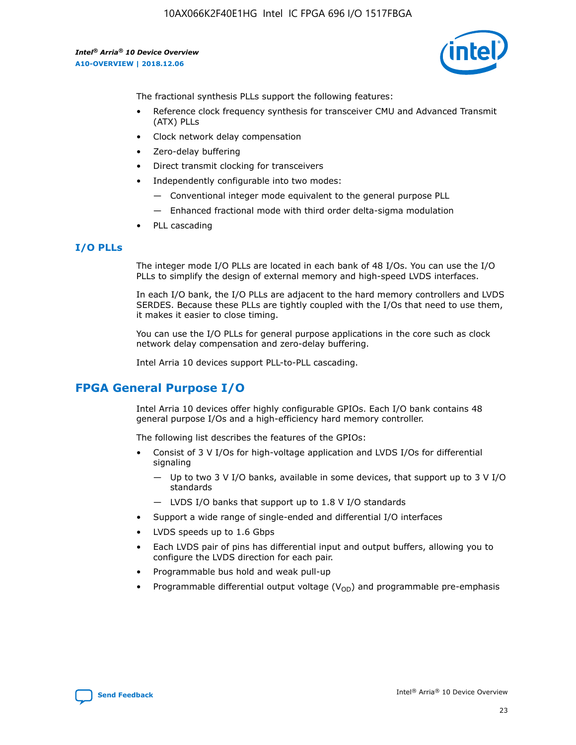

The fractional synthesis PLLs support the following features:

- Reference clock frequency synthesis for transceiver CMU and Advanced Transmit (ATX) PLLs
- Clock network delay compensation
- Zero-delay buffering
- Direct transmit clocking for transceivers
- Independently configurable into two modes:
	- Conventional integer mode equivalent to the general purpose PLL
	- Enhanced fractional mode with third order delta-sigma modulation
- PLL cascading

## **I/O PLLs**

The integer mode I/O PLLs are located in each bank of 48 I/Os. You can use the I/O PLLs to simplify the design of external memory and high-speed LVDS interfaces.

In each I/O bank, the I/O PLLs are adjacent to the hard memory controllers and LVDS SERDES. Because these PLLs are tightly coupled with the I/Os that need to use them, it makes it easier to close timing.

You can use the I/O PLLs for general purpose applications in the core such as clock network delay compensation and zero-delay buffering.

Intel Arria 10 devices support PLL-to-PLL cascading.

# **FPGA General Purpose I/O**

Intel Arria 10 devices offer highly configurable GPIOs. Each I/O bank contains 48 general purpose I/Os and a high-efficiency hard memory controller.

The following list describes the features of the GPIOs:

- Consist of 3 V I/Os for high-voltage application and LVDS I/Os for differential signaling
	- Up to two 3 V I/O banks, available in some devices, that support up to 3 V I/O standards
	- LVDS I/O banks that support up to 1.8 V I/O standards
- Support a wide range of single-ended and differential I/O interfaces
- LVDS speeds up to 1.6 Gbps
- Each LVDS pair of pins has differential input and output buffers, allowing you to configure the LVDS direction for each pair.
- Programmable bus hold and weak pull-up
- Programmable differential output voltage  $(V_{OD})$  and programmable pre-emphasis

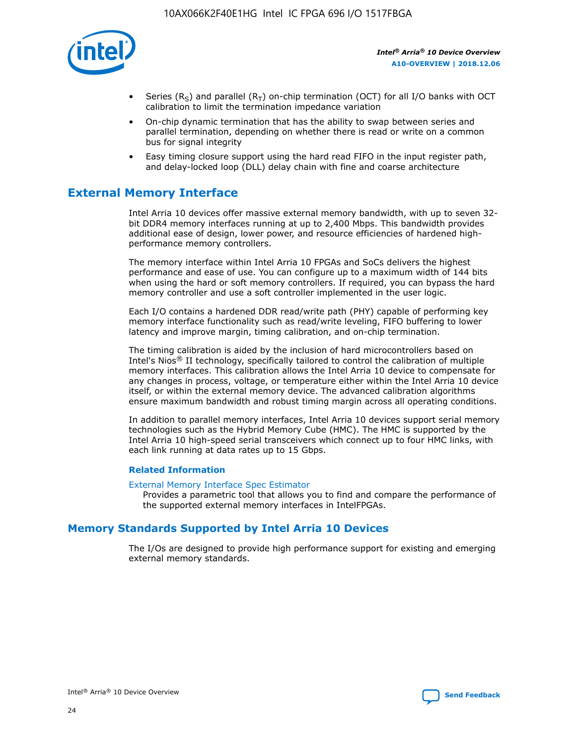

- Series (R<sub>S</sub>) and parallel (R<sub>T</sub>) on-chip termination (OCT) for all I/O banks with OCT calibration to limit the termination impedance variation
- On-chip dynamic termination that has the ability to swap between series and parallel termination, depending on whether there is read or write on a common bus for signal integrity
- Easy timing closure support using the hard read FIFO in the input register path, and delay-locked loop (DLL) delay chain with fine and coarse architecture

# **External Memory Interface**

Intel Arria 10 devices offer massive external memory bandwidth, with up to seven 32 bit DDR4 memory interfaces running at up to 2,400 Mbps. This bandwidth provides additional ease of design, lower power, and resource efficiencies of hardened highperformance memory controllers.

The memory interface within Intel Arria 10 FPGAs and SoCs delivers the highest performance and ease of use. You can configure up to a maximum width of 144 bits when using the hard or soft memory controllers. If required, you can bypass the hard memory controller and use a soft controller implemented in the user logic.

Each I/O contains a hardened DDR read/write path (PHY) capable of performing key memory interface functionality such as read/write leveling, FIFO buffering to lower latency and improve margin, timing calibration, and on-chip termination.

The timing calibration is aided by the inclusion of hard microcontrollers based on Intel's Nios® II technology, specifically tailored to control the calibration of multiple memory interfaces. This calibration allows the Intel Arria 10 device to compensate for any changes in process, voltage, or temperature either within the Intel Arria 10 device itself, or within the external memory device. The advanced calibration algorithms ensure maximum bandwidth and robust timing margin across all operating conditions.

In addition to parallel memory interfaces, Intel Arria 10 devices support serial memory technologies such as the Hybrid Memory Cube (HMC). The HMC is supported by the Intel Arria 10 high-speed serial transceivers which connect up to four HMC links, with each link running at data rates up to 15 Gbps.

## **Related Information**

#### [External Memory Interface Spec Estimator](http://www.altera.com/technology/memory/estimator/mem-emif-index.html)

Provides a parametric tool that allows you to find and compare the performance of the supported external memory interfaces in IntelFPGAs.

# **Memory Standards Supported by Intel Arria 10 Devices**

The I/Os are designed to provide high performance support for existing and emerging external memory standards.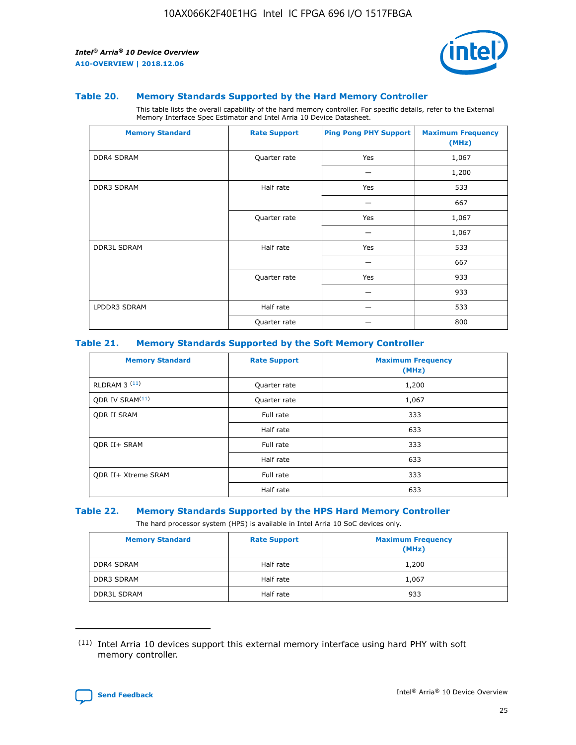

#### **Table 20. Memory Standards Supported by the Hard Memory Controller**

This table lists the overall capability of the hard memory controller. For specific details, refer to the External Memory Interface Spec Estimator and Intel Arria 10 Device Datasheet.

| <b>Memory Standard</b> | <b>Rate Support</b> | <b>Ping Pong PHY Support</b> | <b>Maximum Frequency</b><br>(MHz) |
|------------------------|---------------------|------------------------------|-----------------------------------|
| <b>DDR4 SDRAM</b>      | Quarter rate        | Yes                          | 1,067                             |
|                        |                     |                              | 1,200                             |
| <b>DDR3 SDRAM</b>      | Half rate           | Yes                          | 533                               |
|                        |                     |                              | 667                               |
|                        | Quarter rate        | Yes                          | 1,067                             |
|                        |                     |                              | 1,067                             |
| <b>DDR3L SDRAM</b>     | Half rate           | Yes                          | 533                               |
|                        |                     |                              | 667                               |
|                        | Quarter rate        | Yes                          | 933                               |
|                        |                     |                              | 933                               |
| LPDDR3 SDRAM           | Half rate           |                              | 533                               |
|                        | Quarter rate        |                              | 800                               |

## **Table 21. Memory Standards Supported by the Soft Memory Controller**

| <b>Memory Standard</b>      | <b>Rate Support</b> | <b>Maximum Frequency</b><br>(MHz) |
|-----------------------------|---------------------|-----------------------------------|
| <b>RLDRAM 3 (11)</b>        | Quarter rate        | 1,200                             |
| ODR IV SRAM <sup>(11)</sup> | Quarter rate        | 1,067                             |
| <b>ODR II SRAM</b>          | Full rate           | 333                               |
|                             | Half rate           | 633                               |
| <b>ODR II+ SRAM</b>         | Full rate           | 333                               |
|                             | Half rate           | 633                               |
| <b>ODR II+ Xtreme SRAM</b>  | Full rate           | 333                               |
|                             | Half rate           | 633                               |

#### **Table 22. Memory Standards Supported by the HPS Hard Memory Controller**

The hard processor system (HPS) is available in Intel Arria 10 SoC devices only.

| <b>Memory Standard</b> | <b>Rate Support</b> | <b>Maximum Frequency</b><br>(MHz) |
|------------------------|---------------------|-----------------------------------|
| <b>DDR4 SDRAM</b>      | Half rate           | 1,200                             |
| <b>DDR3 SDRAM</b>      | Half rate           | 1,067                             |
| <b>DDR3L SDRAM</b>     | Half rate           | 933                               |

<sup>(11)</sup> Intel Arria 10 devices support this external memory interface using hard PHY with soft memory controller.

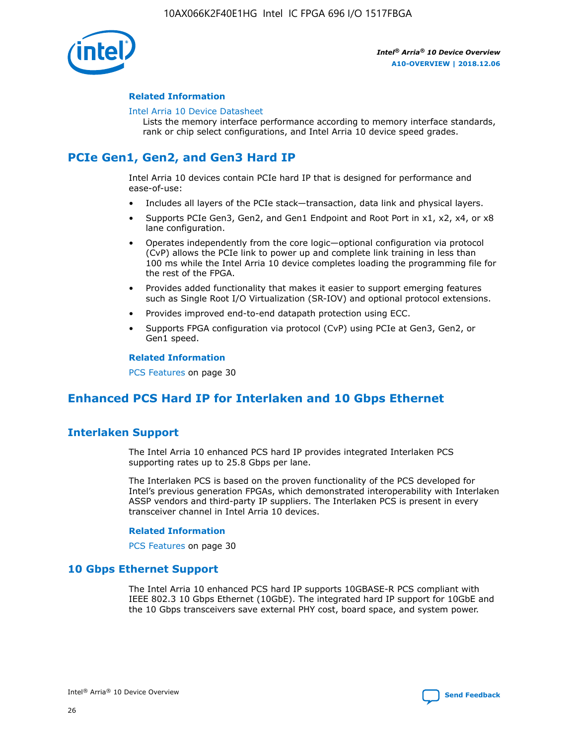

## **Related Information**

#### [Intel Arria 10 Device Datasheet](https://www.intel.com/content/www/us/en/programmable/documentation/mcn1413182292568.html#mcn1413182153340)

Lists the memory interface performance according to memory interface standards, rank or chip select configurations, and Intel Arria 10 device speed grades.

# **PCIe Gen1, Gen2, and Gen3 Hard IP**

Intel Arria 10 devices contain PCIe hard IP that is designed for performance and ease-of-use:

- Includes all layers of the PCIe stack—transaction, data link and physical layers.
- Supports PCIe Gen3, Gen2, and Gen1 Endpoint and Root Port in x1, x2, x4, or x8 lane configuration.
- Operates independently from the core logic—optional configuration via protocol (CvP) allows the PCIe link to power up and complete link training in less than 100 ms while the Intel Arria 10 device completes loading the programming file for the rest of the FPGA.
- Provides added functionality that makes it easier to support emerging features such as Single Root I/O Virtualization (SR-IOV) and optional protocol extensions.
- Provides improved end-to-end datapath protection using ECC.
- Supports FPGA configuration via protocol (CvP) using PCIe at Gen3, Gen2, or Gen1 speed.

#### **Related Information**

PCS Features on page 30

# **Enhanced PCS Hard IP for Interlaken and 10 Gbps Ethernet**

# **Interlaken Support**

The Intel Arria 10 enhanced PCS hard IP provides integrated Interlaken PCS supporting rates up to 25.8 Gbps per lane.

The Interlaken PCS is based on the proven functionality of the PCS developed for Intel's previous generation FPGAs, which demonstrated interoperability with Interlaken ASSP vendors and third-party IP suppliers. The Interlaken PCS is present in every transceiver channel in Intel Arria 10 devices.

## **Related Information**

PCS Features on page 30

# **10 Gbps Ethernet Support**

The Intel Arria 10 enhanced PCS hard IP supports 10GBASE-R PCS compliant with IEEE 802.3 10 Gbps Ethernet (10GbE). The integrated hard IP support for 10GbE and the 10 Gbps transceivers save external PHY cost, board space, and system power.

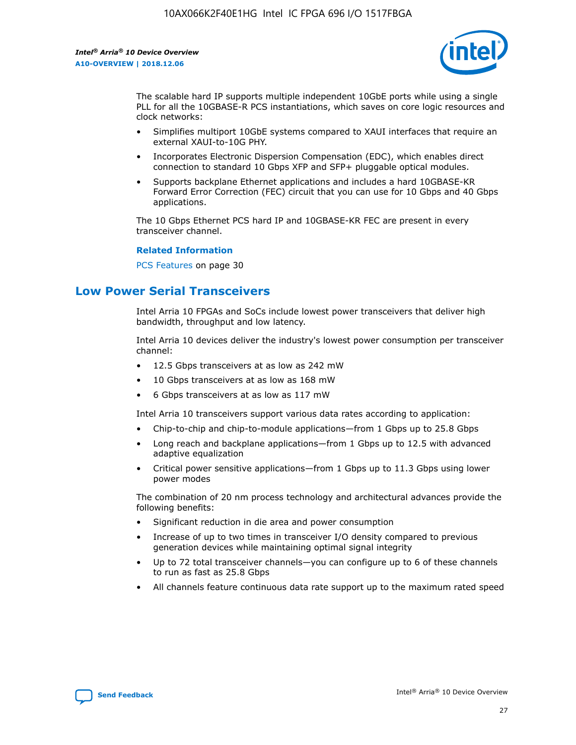

The scalable hard IP supports multiple independent 10GbE ports while using a single PLL for all the 10GBASE-R PCS instantiations, which saves on core logic resources and clock networks:

- Simplifies multiport 10GbE systems compared to XAUI interfaces that require an external XAUI-to-10G PHY.
- Incorporates Electronic Dispersion Compensation (EDC), which enables direct connection to standard 10 Gbps XFP and SFP+ pluggable optical modules.
- Supports backplane Ethernet applications and includes a hard 10GBASE-KR Forward Error Correction (FEC) circuit that you can use for 10 Gbps and 40 Gbps applications.

The 10 Gbps Ethernet PCS hard IP and 10GBASE-KR FEC are present in every transceiver channel.

#### **Related Information**

PCS Features on page 30

# **Low Power Serial Transceivers**

Intel Arria 10 FPGAs and SoCs include lowest power transceivers that deliver high bandwidth, throughput and low latency.

Intel Arria 10 devices deliver the industry's lowest power consumption per transceiver channel:

- 12.5 Gbps transceivers at as low as 242 mW
- 10 Gbps transceivers at as low as 168 mW
- 6 Gbps transceivers at as low as 117 mW

Intel Arria 10 transceivers support various data rates according to application:

- Chip-to-chip and chip-to-module applications—from 1 Gbps up to 25.8 Gbps
- Long reach and backplane applications—from 1 Gbps up to 12.5 with advanced adaptive equalization
- Critical power sensitive applications—from 1 Gbps up to 11.3 Gbps using lower power modes

The combination of 20 nm process technology and architectural advances provide the following benefits:

- Significant reduction in die area and power consumption
- Increase of up to two times in transceiver I/O density compared to previous generation devices while maintaining optimal signal integrity
- Up to 72 total transceiver channels—you can configure up to 6 of these channels to run as fast as 25.8 Gbps
- All channels feature continuous data rate support up to the maximum rated speed

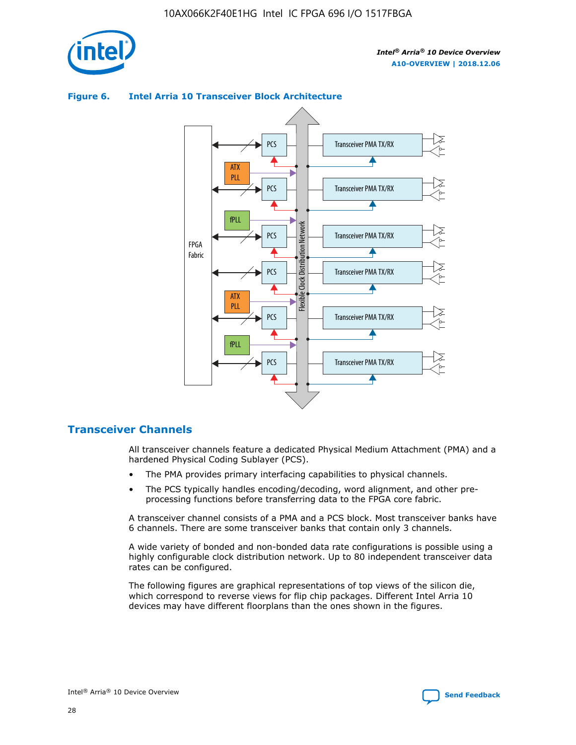

# ATX PLL PCS PCS Transceiver PMA TX/RX

**Figure 6. Intel Arria 10 Transceiver Block Architecture**



# **Transceiver Channels**

All transceiver channels feature a dedicated Physical Medium Attachment (PMA) and a hardened Physical Coding Sublayer (PCS).

- The PMA provides primary interfacing capabilities to physical channels.
- The PCS typically handles encoding/decoding, word alignment, and other preprocessing functions before transferring data to the FPGA core fabric.

A transceiver channel consists of a PMA and a PCS block. Most transceiver banks have 6 channels. There are some transceiver banks that contain only 3 channels.

A wide variety of bonded and non-bonded data rate configurations is possible using a highly configurable clock distribution network. Up to 80 independent transceiver data rates can be configured.

The following figures are graphical representations of top views of the silicon die, which correspond to reverse views for flip chip packages. Different Intel Arria 10 devices may have different floorplans than the ones shown in the figures.

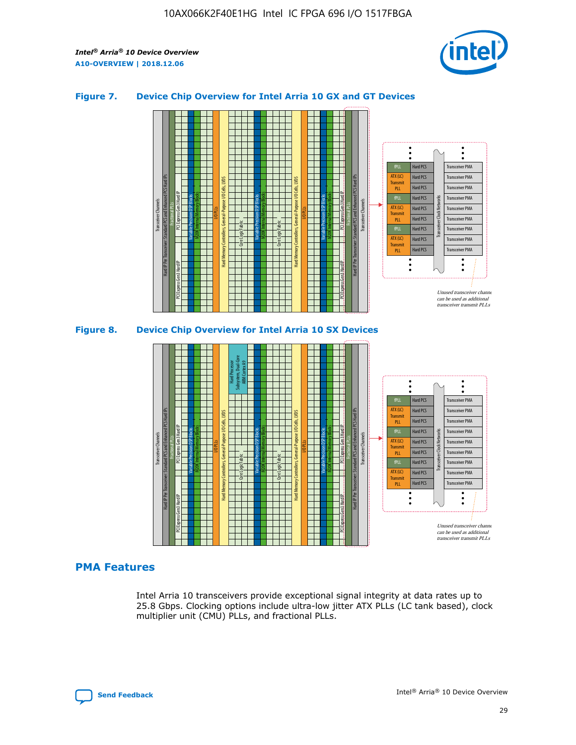

## **Figure 7. Device Chip Overview for Intel Arria 10 GX and GT Devices**





## **PMA Features**

Intel Arria 10 transceivers provide exceptional signal integrity at data rates up to 25.8 Gbps. Clocking options include ultra-low jitter ATX PLLs (LC tank based), clock multiplier unit (CMU) PLLs, and fractional PLLs.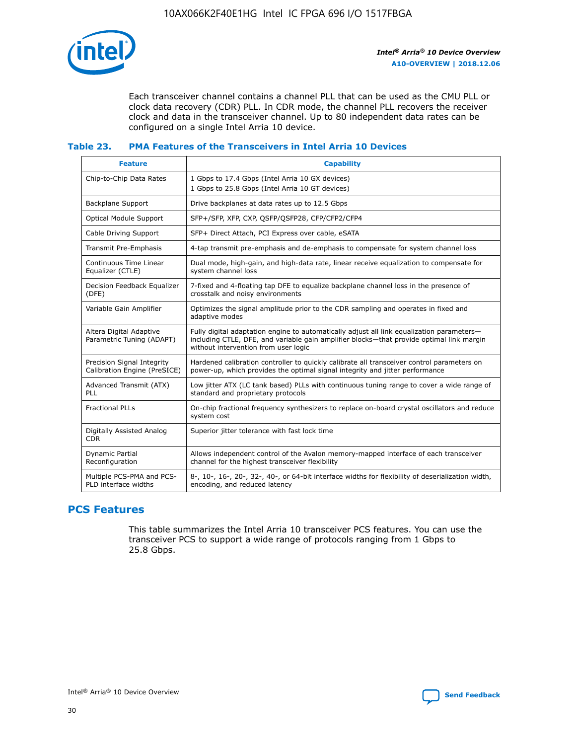

Each transceiver channel contains a channel PLL that can be used as the CMU PLL or clock data recovery (CDR) PLL. In CDR mode, the channel PLL recovers the receiver clock and data in the transceiver channel. Up to 80 independent data rates can be configured on a single Intel Arria 10 device.

## **Table 23. PMA Features of the Transceivers in Intel Arria 10 Devices**

| <b>Feature</b>                                             | <b>Capability</b>                                                                                                                                                                                                             |
|------------------------------------------------------------|-------------------------------------------------------------------------------------------------------------------------------------------------------------------------------------------------------------------------------|
| Chip-to-Chip Data Rates                                    | 1 Gbps to 17.4 Gbps (Intel Arria 10 GX devices)<br>1 Gbps to 25.8 Gbps (Intel Arria 10 GT devices)                                                                                                                            |
| Backplane Support                                          | Drive backplanes at data rates up to 12.5 Gbps                                                                                                                                                                                |
| <b>Optical Module Support</b>                              | SFP+/SFP, XFP, CXP, QSFP/QSFP28, CFP/CFP2/CFP4                                                                                                                                                                                |
| Cable Driving Support                                      | SFP+ Direct Attach, PCI Express over cable, eSATA                                                                                                                                                                             |
| Transmit Pre-Emphasis                                      | 4-tap transmit pre-emphasis and de-emphasis to compensate for system channel loss                                                                                                                                             |
| Continuous Time Linear<br>Equalizer (CTLE)                 | Dual mode, high-gain, and high-data rate, linear receive equalization to compensate for<br>system channel loss                                                                                                                |
| Decision Feedback Equalizer<br>(DFE)                       | 7-fixed and 4-floating tap DFE to equalize backplane channel loss in the presence of<br>crosstalk and noisy environments                                                                                                      |
| Variable Gain Amplifier                                    | Optimizes the signal amplitude prior to the CDR sampling and operates in fixed and<br>adaptive modes                                                                                                                          |
| Altera Digital Adaptive<br>Parametric Tuning (ADAPT)       | Fully digital adaptation engine to automatically adjust all link equalization parameters-<br>including CTLE, DFE, and variable gain amplifier blocks—that provide optimal link margin<br>without intervention from user logic |
| Precision Signal Integrity<br>Calibration Engine (PreSICE) | Hardened calibration controller to quickly calibrate all transceiver control parameters on<br>power-up, which provides the optimal signal integrity and jitter performance                                                    |
| Advanced Transmit (ATX)<br><b>PLL</b>                      | Low jitter ATX (LC tank based) PLLs with continuous tuning range to cover a wide range of<br>standard and proprietary protocols                                                                                               |
| <b>Fractional PLLs</b>                                     | On-chip fractional frequency synthesizers to replace on-board crystal oscillators and reduce<br>system cost                                                                                                                   |
| Digitally Assisted Analog<br><b>CDR</b>                    | Superior jitter tolerance with fast lock time                                                                                                                                                                                 |
| Dynamic Partial<br>Reconfiguration                         | Allows independent control of the Avalon memory-mapped interface of each transceiver<br>channel for the highest transceiver flexibility                                                                                       |
| Multiple PCS-PMA and PCS-<br>PLD interface widths          | 8-, 10-, 16-, 20-, 32-, 40-, or 64-bit interface widths for flexibility of deserialization width,<br>encoding, and reduced latency                                                                                            |

# **PCS Features**

This table summarizes the Intel Arria 10 transceiver PCS features. You can use the transceiver PCS to support a wide range of protocols ranging from 1 Gbps to 25.8 Gbps.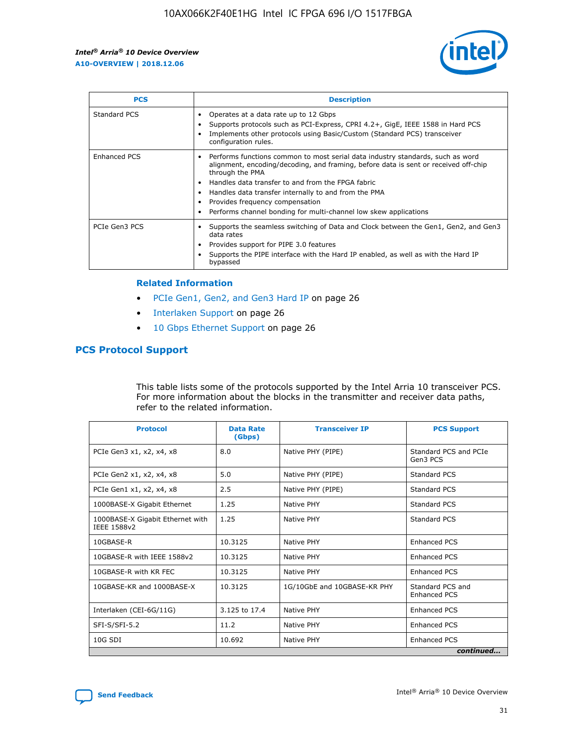

| <b>PCS</b>    | <b>Description</b>                                                                                                                                                                                                                                                                                                                                                                                             |
|---------------|----------------------------------------------------------------------------------------------------------------------------------------------------------------------------------------------------------------------------------------------------------------------------------------------------------------------------------------------------------------------------------------------------------------|
| Standard PCS  | Operates at a data rate up to 12 Gbps<br>Supports protocols such as PCI-Express, CPRI 4.2+, GigE, IEEE 1588 in Hard PCS<br>Implements other protocols using Basic/Custom (Standard PCS) transceiver<br>configuration rules.                                                                                                                                                                                    |
| Enhanced PCS  | Performs functions common to most serial data industry standards, such as word<br>alignment, encoding/decoding, and framing, before data is sent or received off-chip<br>through the PMA<br>• Handles data transfer to and from the FPGA fabric<br>Handles data transfer internally to and from the PMA<br>Provides frequency compensation<br>Performs channel bonding for multi-channel low skew applications |
| PCIe Gen3 PCS | Supports the seamless switching of Data and Clock between the Gen1, Gen2, and Gen3<br>data rates<br>Provides support for PIPE 3.0 features<br>Supports the PIPE interface with the Hard IP enabled, as well as with the Hard IP<br>bypassed                                                                                                                                                                    |

#### **Related Information**

- PCIe Gen1, Gen2, and Gen3 Hard IP on page 26
- Interlaken Support on page 26
- 10 Gbps Ethernet Support on page 26

# **PCS Protocol Support**

This table lists some of the protocols supported by the Intel Arria 10 transceiver PCS. For more information about the blocks in the transmitter and receiver data paths, refer to the related information.

| <b>Protocol</b>                                 | <b>Data Rate</b><br>(Gbps) | <b>Transceiver IP</b>       | <b>PCS Support</b>                      |
|-------------------------------------------------|----------------------------|-----------------------------|-----------------------------------------|
| PCIe Gen3 x1, x2, x4, x8                        | 8.0                        | Native PHY (PIPE)           | Standard PCS and PCIe<br>Gen3 PCS       |
| PCIe Gen2 x1, x2, x4, x8                        | 5.0                        | Native PHY (PIPE)           | <b>Standard PCS</b>                     |
| PCIe Gen1 x1, x2, x4, x8                        | 2.5                        | Native PHY (PIPE)           | Standard PCS                            |
| 1000BASE-X Gigabit Ethernet                     | 1.25                       | Native PHY                  | <b>Standard PCS</b>                     |
| 1000BASE-X Gigabit Ethernet with<br>IEEE 1588v2 | 1.25                       | Native PHY                  | Standard PCS                            |
| 10GBASE-R                                       | 10.3125                    | Native PHY                  | <b>Enhanced PCS</b>                     |
| 10GBASE-R with IEEE 1588v2                      | 10.3125                    | Native PHY                  | <b>Enhanced PCS</b>                     |
| 10GBASE-R with KR FEC                           | 10.3125                    | Native PHY                  | <b>Enhanced PCS</b>                     |
| 10GBASE-KR and 1000BASE-X                       | 10.3125                    | 1G/10GbE and 10GBASE-KR PHY | Standard PCS and<br><b>Enhanced PCS</b> |
| Interlaken (CEI-6G/11G)                         | 3.125 to 17.4              | Native PHY                  | <b>Enhanced PCS</b>                     |
| SFI-S/SFI-5.2                                   | 11.2                       | Native PHY                  | <b>Enhanced PCS</b>                     |
| 10G SDI                                         | 10.692                     | Native PHY                  | <b>Enhanced PCS</b>                     |
|                                                 |                            |                             | continued                               |

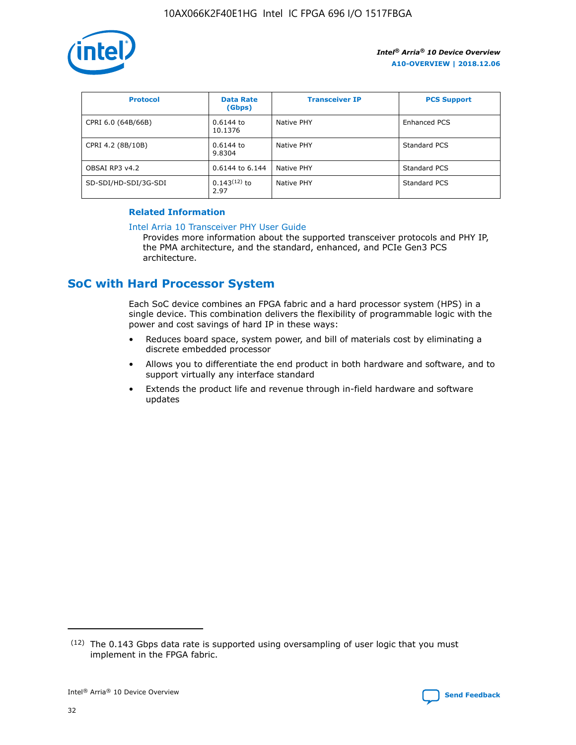

| <b>Protocol</b>      | <b>Data Rate</b><br>(Gbps) | <b>Transceiver IP</b> | <b>PCS Support</b> |
|----------------------|----------------------------|-----------------------|--------------------|
| CPRI 6.0 (64B/66B)   | 0.6144 to<br>10.1376       | Native PHY            | Enhanced PCS       |
| CPRI 4.2 (8B/10B)    | 0.6144 to<br>9.8304        | Native PHY            | Standard PCS       |
| OBSAI RP3 v4.2       | 0.6144 to 6.144            | Native PHY            | Standard PCS       |
| SD-SDI/HD-SDI/3G-SDI | $0.143(12)$ to<br>2.97     | Native PHY            | Standard PCS       |

## **Related Information**

#### [Intel Arria 10 Transceiver PHY User Guide](https://www.intel.com/content/www/us/en/programmable/documentation/nik1398707230472.html#nik1398707091164)

Provides more information about the supported transceiver protocols and PHY IP, the PMA architecture, and the standard, enhanced, and PCIe Gen3 PCS architecture.

# **SoC with Hard Processor System**

Each SoC device combines an FPGA fabric and a hard processor system (HPS) in a single device. This combination delivers the flexibility of programmable logic with the power and cost savings of hard IP in these ways:

- Reduces board space, system power, and bill of materials cost by eliminating a discrete embedded processor
- Allows you to differentiate the end product in both hardware and software, and to support virtually any interface standard
- Extends the product life and revenue through in-field hardware and software updates

 $(12)$  The 0.143 Gbps data rate is supported using oversampling of user logic that you must implement in the FPGA fabric.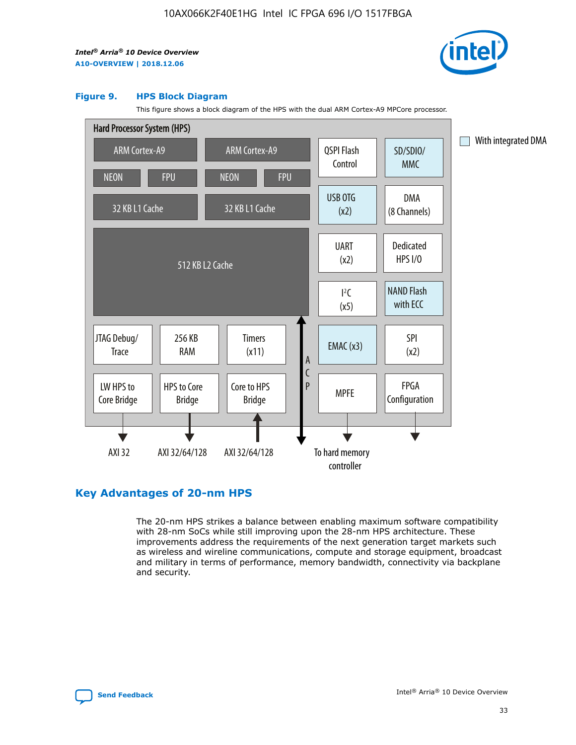

#### **Figure 9. HPS Block Diagram**

This figure shows a block diagram of the HPS with the dual ARM Cortex-A9 MPCore processor.



# **Key Advantages of 20-nm HPS**

The 20-nm HPS strikes a balance between enabling maximum software compatibility with 28-nm SoCs while still improving upon the 28-nm HPS architecture. These improvements address the requirements of the next generation target markets such as wireless and wireline communications, compute and storage equipment, broadcast and military in terms of performance, memory bandwidth, connectivity via backplane and security.

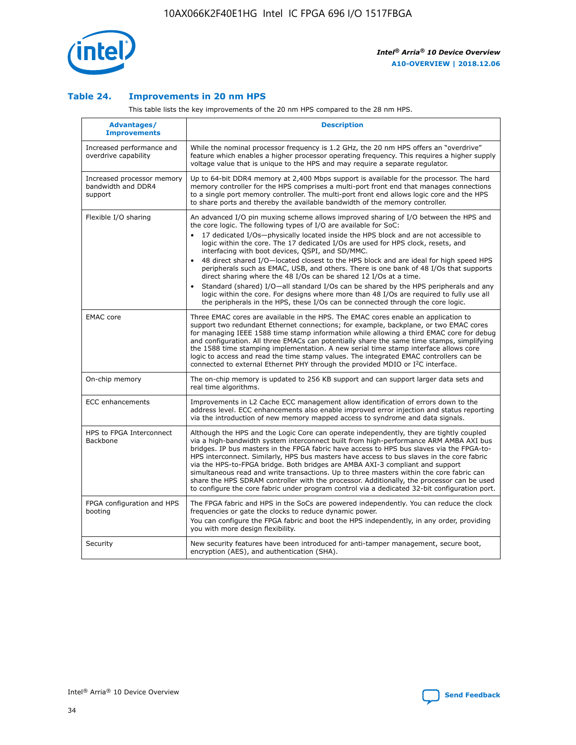

## **Table 24. Improvements in 20 nm HPS**

This table lists the key improvements of the 20 nm HPS compared to the 28 nm HPS.

| <b>Advantages/</b><br><b>Improvements</b>                   | <b>Description</b>                                                                                                                                                                                                                                                                                                                                                                                                                                                                                                                                                                                                                                                                                                                                                                                                                                                                                                      |
|-------------------------------------------------------------|-------------------------------------------------------------------------------------------------------------------------------------------------------------------------------------------------------------------------------------------------------------------------------------------------------------------------------------------------------------------------------------------------------------------------------------------------------------------------------------------------------------------------------------------------------------------------------------------------------------------------------------------------------------------------------------------------------------------------------------------------------------------------------------------------------------------------------------------------------------------------------------------------------------------------|
| Increased performance and<br>overdrive capability           | While the nominal processor frequency is 1.2 GHz, the 20 nm HPS offers an "overdrive"<br>feature which enables a higher processor operating frequency. This requires a higher supply<br>voltage value that is unique to the HPS and may require a separate regulator.                                                                                                                                                                                                                                                                                                                                                                                                                                                                                                                                                                                                                                                   |
| Increased processor memory<br>bandwidth and DDR4<br>support | Up to 64-bit DDR4 memory at 2,400 Mbps support is available for the processor. The hard<br>memory controller for the HPS comprises a multi-port front end that manages connections<br>to a single port memory controller. The multi-port front end allows logic core and the HPS<br>to share ports and thereby the available bandwidth of the memory controller.                                                                                                                                                                                                                                                                                                                                                                                                                                                                                                                                                        |
| Flexible I/O sharing                                        | An advanced I/O pin muxing scheme allows improved sharing of I/O between the HPS and<br>the core logic. The following types of I/O are available for SoC:<br>17 dedicated I/Os-physically located inside the HPS block and are not accessible to<br>logic within the core. The 17 dedicated I/Os are used for HPS clock, resets, and<br>interfacing with boot devices, QSPI, and SD/MMC.<br>48 direct shared I/O-located closest to the HPS block and are ideal for high speed HPS<br>peripherals such as EMAC, USB, and others. There is one bank of 48 I/Os that supports<br>direct sharing where the 48 I/Os can be shared 12 I/Os at a time.<br>Standard (shared) I/O-all standard I/Os can be shared by the HPS peripherals and any<br>logic within the core. For designs where more than 48 I/Os are required to fully use all<br>the peripherals in the HPS, these I/Os can be connected through the core logic. |
| <b>EMAC</b> core                                            | Three EMAC cores are available in the HPS. The EMAC cores enable an application to<br>support two redundant Ethernet connections; for example, backplane, or two EMAC cores<br>for managing IEEE 1588 time stamp information while allowing a third EMAC core for debug<br>and configuration. All three EMACs can potentially share the same time stamps, simplifying<br>the 1588 time stamping implementation. A new serial time stamp interface allows core<br>logic to access and read the time stamp values. The integrated EMAC controllers can be<br>connected to external Ethernet PHY through the provided MDIO or I <sup>2</sup> C interface.                                                                                                                                                                                                                                                                  |
| On-chip memory                                              | The on-chip memory is updated to 256 KB support and can support larger data sets and<br>real time algorithms.                                                                                                                                                                                                                                                                                                                                                                                                                                                                                                                                                                                                                                                                                                                                                                                                           |
| <b>ECC</b> enhancements                                     | Improvements in L2 Cache ECC management allow identification of errors down to the<br>address level. ECC enhancements also enable improved error injection and status reporting<br>via the introduction of new memory mapped access to syndrome and data signals.                                                                                                                                                                                                                                                                                                                                                                                                                                                                                                                                                                                                                                                       |
| HPS to FPGA Interconnect<br><b>Backbone</b>                 | Although the HPS and the Logic Core can operate independently, they are tightly coupled<br>via a high-bandwidth system interconnect built from high-performance ARM AMBA AXI bus<br>bridges. IP bus masters in the FPGA fabric have access to HPS bus slaves via the FPGA-to-<br>HPS interconnect. Similarly, HPS bus masters have access to bus slaves in the core fabric<br>via the HPS-to-FPGA bridge. Both bridges are AMBA AXI-3 compliant and support<br>simultaneous read and write transactions. Up to three masters within the core fabric can<br>share the HPS SDRAM controller with the processor. Additionally, the processor can be used<br>to configure the core fabric under program control via a dedicated 32-bit configuration port.                                                                                                                                                                  |
| FPGA configuration and HPS<br>booting                       | The FPGA fabric and HPS in the SoCs are powered independently. You can reduce the clock<br>frequencies or gate the clocks to reduce dynamic power.<br>You can configure the FPGA fabric and boot the HPS independently, in any order, providing<br>you with more design flexibility.                                                                                                                                                                                                                                                                                                                                                                                                                                                                                                                                                                                                                                    |
| Security                                                    | New security features have been introduced for anti-tamper management, secure boot,<br>encryption (AES), and authentication (SHA).                                                                                                                                                                                                                                                                                                                                                                                                                                                                                                                                                                                                                                                                                                                                                                                      |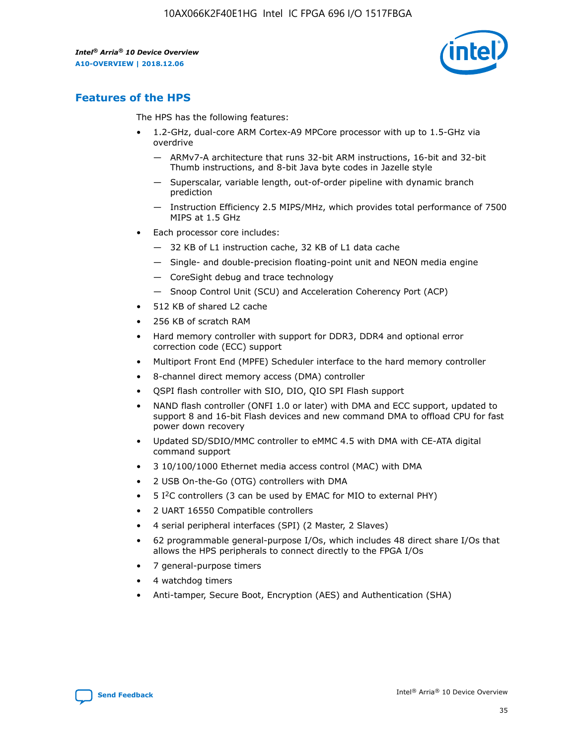

# **Features of the HPS**

The HPS has the following features:

- 1.2-GHz, dual-core ARM Cortex-A9 MPCore processor with up to 1.5-GHz via overdrive
	- ARMv7-A architecture that runs 32-bit ARM instructions, 16-bit and 32-bit Thumb instructions, and 8-bit Java byte codes in Jazelle style
	- Superscalar, variable length, out-of-order pipeline with dynamic branch prediction
	- Instruction Efficiency 2.5 MIPS/MHz, which provides total performance of 7500 MIPS at 1.5 GHz
- Each processor core includes:
	- 32 KB of L1 instruction cache, 32 KB of L1 data cache
	- Single- and double-precision floating-point unit and NEON media engine
	- CoreSight debug and trace technology
	- Snoop Control Unit (SCU) and Acceleration Coherency Port (ACP)
- 512 KB of shared L2 cache
- 256 KB of scratch RAM
- Hard memory controller with support for DDR3, DDR4 and optional error correction code (ECC) support
- Multiport Front End (MPFE) Scheduler interface to the hard memory controller
- 8-channel direct memory access (DMA) controller
- QSPI flash controller with SIO, DIO, QIO SPI Flash support
- NAND flash controller (ONFI 1.0 or later) with DMA and ECC support, updated to support 8 and 16-bit Flash devices and new command DMA to offload CPU for fast power down recovery
- Updated SD/SDIO/MMC controller to eMMC 4.5 with DMA with CE-ATA digital command support
- 3 10/100/1000 Ethernet media access control (MAC) with DMA
- 2 USB On-the-Go (OTG) controllers with DMA
- $\bullet$  5 I<sup>2</sup>C controllers (3 can be used by EMAC for MIO to external PHY)
- 2 UART 16550 Compatible controllers
- 4 serial peripheral interfaces (SPI) (2 Master, 2 Slaves)
- 62 programmable general-purpose I/Os, which includes 48 direct share I/Os that allows the HPS peripherals to connect directly to the FPGA I/Os
- 7 general-purpose timers
- 4 watchdog timers
- Anti-tamper, Secure Boot, Encryption (AES) and Authentication (SHA)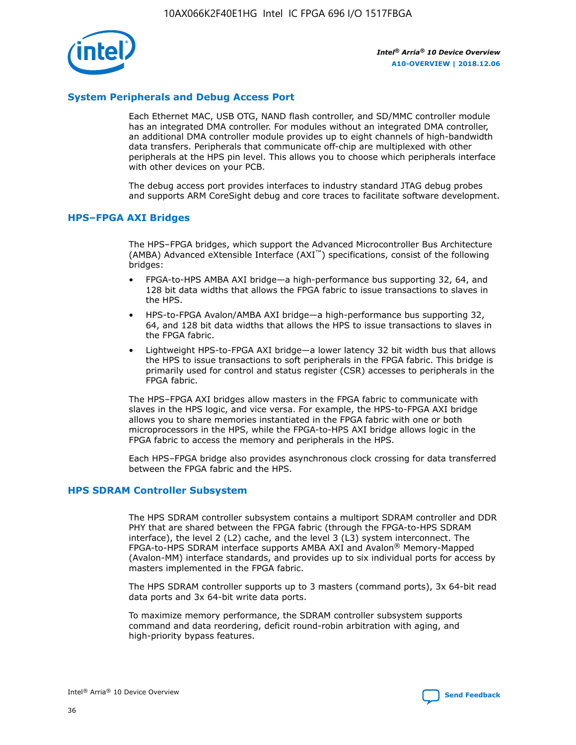

# **System Peripherals and Debug Access Port**

Each Ethernet MAC, USB OTG, NAND flash controller, and SD/MMC controller module has an integrated DMA controller. For modules without an integrated DMA controller, an additional DMA controller module provides up to eight channels of high-bandwidth data transfers. Peripherals that communicate off-chip are multiplexed with other peripherals at the HPS pin level. This allows you to choose which peripherals interface with other devices on your PCB.

The debug access port provides interfaces to industry standard JTAG debug probes and supports ARM CoreSight debug and core traces to facilitate software development.

## **HPS–FPGA AXI Bridges**

The HPS–FPGA bridges, which support the Advanced Microcontroller Bus Architecture (AMBA) Advanced eXtensible Interface (AXI™) specifications, consist of the following bridges:

- FPGA-to-HPS AMBA AXI bridge—a high-performance bus supporting 32, 64, and 128 bit data widths that allows the FPGA fabric to issue transactions to slaves in the HPS.
- HPS-to-FPGA Avalon/AMBA AXI bridge—a high-performance bus supporting 32, 64, and 128 bit data widths that allows the HPS to issue transactions to slaves in the FPGA fabric.
- Lightweight HPS-to-FPGA AXI bridge—a lower latency 32 bit width bus that allows the HPS to issue transactions to soft peripherals in the FPGA fabric. This bridge is primarily used for control and status register (CSR) accesses to peripherals in the FPGA fabric.

The HPS–FPGA AXI bridges allow masters in the FPGA fabric to communicate with slaves in the HPS logic, and vice versa. For example, the HPS-to-FPGA AXI bridge allows you to share memories instantiated in the FPGA fabric with one or both microprocessors in the HPS, while the FPGA-to-HPS AXI bridge allows logic in the FPGA fabric to access the memory and peripherals in the HPS.

Each HPS–FPGA bridge also provides asynchronous clock crossing for data transferred between the FPGA fabric and the HPS.

## **HPS SDRAM Controller Subsystem**

The HPS SDRAM controller subsystem contains a multiport SDRAM controller and DDR PHY that are shared between the FPGA fabric (through the FPGA-to-HPS SDRAM interface), the level 2 (L2) cache, and the level 3 (L3) system interconnect. The FPGA-to-HPS SDRAM interface supports AMBA AXI and Avalon® Memory-Mapped (Avalon-MM) interface standards, and provides up to six individual ports for access by masters implemented in the FPGA fabric.

The HPS SDRAM controller supports up to 3 masters (command ports), 3x 64-bit read data ports and 3x 64-bit write data ports.

To maximize memory performance, the SDRAM controller subsystem supports command and data reordering, deficit round-robin arbitration with aging, and high-priority bypass features.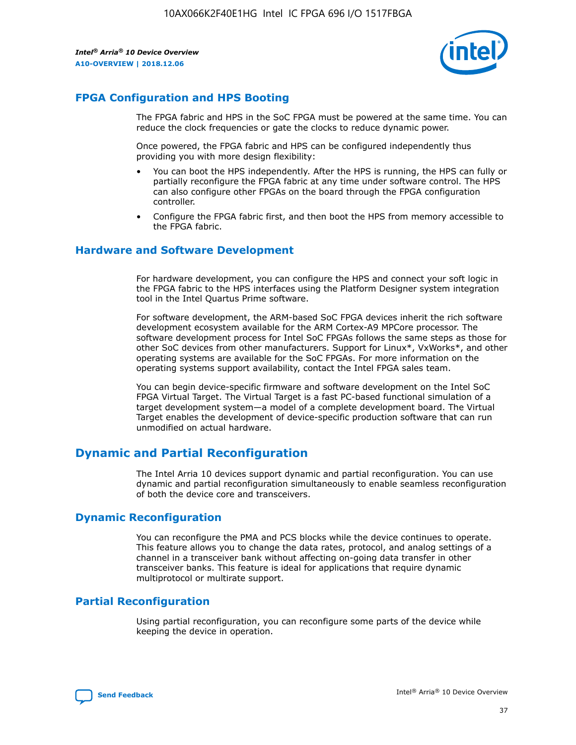

# **FPGA Configuration and HPS Booting**

The FPGA fabric and HPS in the SoC FPGA must be powered at the same time. You can reduce the clock frequencies or gate the clocks to reduce dynamic power.

Once powered, the FPGA fabric and HPS can be configured independently thus providing you with more design flexibility:

- You can boot the HPS independently. After the HPS is running, the HPS can fully or partially reconfigure the FPGA fabric at any time under software control. The HPS can also configure other FPGAs on the board through the FPGA configuration controller.
- Configure the FPGA fabric first, and then boot the HPS from memory accessible to the FPGA fabric.

## **Hardware and Software Development**

For hardware development, you can configure the HPS and connect your soft logic in the FPGA fabric to the HPS interfaces using the Platform Designer system integration tool in the Intel Quartus Prime software.

For software development, the ARM-based SoC FPGA devices inherit the rich software development ecosystem available for the ARM Cortex-A9 MPCore processor. The software development process for Intel SoC FPGAs follows the same steps as those for other SoC devices from other manufacturers. Support for Linux\*, VxWorks\*, and other operating systems are available for the SoC FPGAs. For more information on the operating systems support availability, contact the Intel FPGA sales team.

You can begin device-specific firmware and software development on the Intel SoC FPGA Virtual Target. The Virtual Target is a fast PC-based functional simulation of a target development system—a model of a complete development board. The Virtual Target enables the development of device-specific production software that can run unmodified on actual hardware.

# **Dynamic and Partial Reconfiguration**

The Intel Arria 10 devices support dynamic and partial reconfiguration. You can use dynamic and partial reconfiguration simultaneously to enable seamless reconfiguration of both the device core and transceivers.

# **Dynamic Reconfiguration**

You can reconfigure the PMA and PCS blocks while the device continues to operate. This feature allows you to change the data rates, protocol, and analog settings of a channel in a transceiver bank without affecting on-going data transfer in other transceiver banks. This feature is ideal for applications that require dynamic multiprotocol or multirate support.

# **Partial Reconfiguration**

Using partial reconfiguration, you can reconfigure some parts of the device while keeping the device in operation.

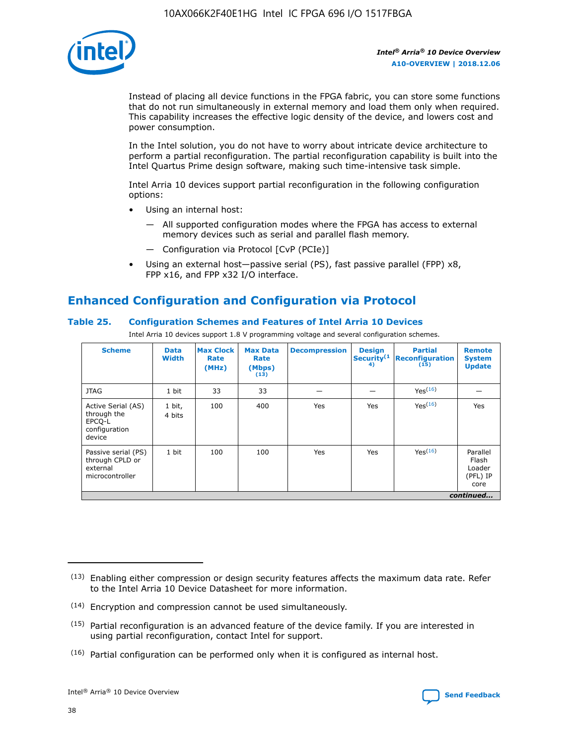

Instead of placing all device functions in the FPGA fabric, you can store some functions that do not run simultaneously in external memory and load them only when required. This capability increases the effective logic density of the device, and lowers cost and power consumption.

In the Intel solution, you do not have to worry about intricate device architecture to perform a partial reconfiguration. The partial reconfiguration capability is built into the Intel Quartus Prime design software, making such time-intensive task simple.

Intel Arria 10 devices support partial reconfiguration in the following configuration options:

- Using an internal host:
	- All supported configuration modes where the FPGA has access to external memory devices such as serial and parallel flash memory.
	- Configuration via Protocol [CvP (PCIe)]
- Using an external host—passive serial (PS), fast passive parallel (FPP) x8, FPP x16, and FPP x32 I/O interface.

# **Enhanced Configuration and Configuration via Protocol**

# **Table 25. Configuration Schemes and Features of Intel Arria 10 Devices**

Intel Arria 10 devices support 1.8 V programming voltage and several configuration schemes.

| <b>Scheme</b>                                                          | <b>Data</b><br><b>Width</b> | <b>Max Clock</b><br>Rate<br>(MHz) | <b>Max Data</b><br>Rate<br>(Mbps)<br>(13) | <b>Decompression</b> | <b>Design</b><br>Security <sup>(1</sup><br>4) | <b>Partial</b><br>Reconfiguration<br>(15) | <b>Remote</b><br><b>System</b><br><b>Update</b> |
|------------------------------------------------------------------------|-----------------------------|-----------------------------------|-------------------------------------------|----------------------|-----------------------------------------------|-------------------------------------------|-------------------------------------------------|
| <b>JTAG</b>                                                            | 1 bit                       | 33                                | 33                                        |                      |                                               | Yes(16)                                   |                                                 |
| Active Serial (AS)<br>through the<br>EPCO-L<br>configuration<br>device | 1 bit,<br>4 bits            | 100                               | 400                                       | Yes                  | Yes                                           | Yes(16)                                   | Yes                                             |
| Passive serial (PS)<br>through CPLD or<br>external<br>microcontroller  | 1 bit                       | 100                               | 100                                       | Yes                  | Yes                                           | Yes <sup>(16)</sup>                       | Parallel<br>Flash<br>Loader<br>(PFL) IP<br>core |
|                                                                        |                             |                                   |                                           |                      |                                               |                                           | continued                                       |

<sup>(13)</sup> Enabling either compression or design security features affects the maximum data rate. Refer to the Intel Arria 10 Device Datasheet for more information.

<sup>(14)</sup> Encryption and compression cannot be used simultaneously.

 $(15)$  Partial reconfiguration is an advanced feature of the device family. If you are interested in using partial reconfiguration, contact Intel for support.

 $(16)$  Partial configuration can be performed only when it is configured as internal host.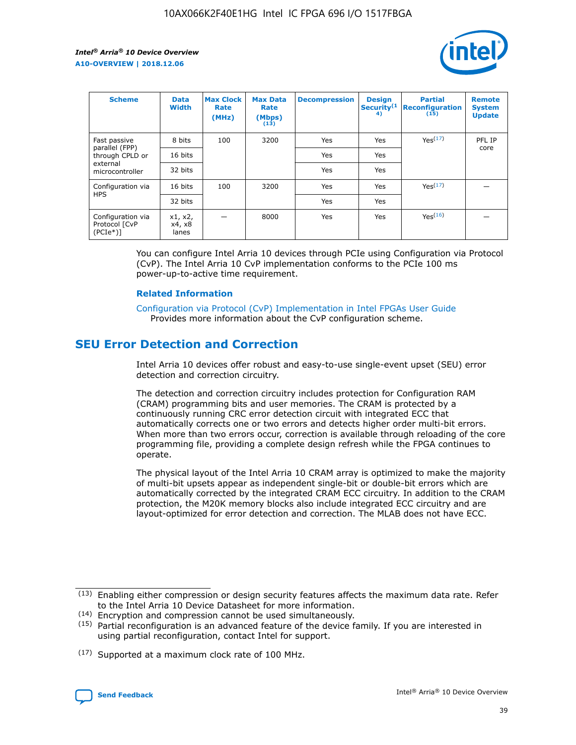

| <b>Scheme</b>                                   | <b>Data</b><br><b>Width</b> | <b>Max Clock</b><br>Rate<br>(MHz) | <b>Max Data</b><br>Rate<br>(Mbps)<br>(13) | <b>Decompression</b> | <b>Design</b><br>Security <sup>(1</sup><br>4) | <b>Partial</b><br><b>Reconfiguration</b><br>(15) | <b>Remote</b><br><b>System</b><br><b>Update</b> |
|-------------------------------------------------|-----------------------------|-----------------------------------|-------------------------------------------|----------------------|-----------------------------------------------|--------------------------------------------------|-------------------------------------------------|
| Fast passive                                    | 8 bits                      | 100                               | 3200                                      | Yes                  | Yes                                           | Yes(17)                                          | PFL IP                                          |
| parallel (FPP)<br>through CPLD or               | 16 bits                     |                                   |                                           | Yes                  | Yes                                           |                                                  | core                                            |
| external<br>microcontroller                     | 32 bits                     |                                   |                                           | Yes                  | Yes                                           |                                                  |                                                 |
| Configuration via                               | 16 bits                     | 100                               | 3200                                      | Yes                  | Yes                                           | Yes <sup>(17)</sup>                              |                                                 |
| <b>HPS</b>                                      | 32 bits                     |                                   |                                           | Yes                  | Yes                                           |                                                  |                                                 |
| Configuration via<br>Protocol [CvP<br>$(PCIe*)$ | x1, x2,<br>x4, x8<br>lanes  |                                   | 8000                                      | Yes                  | Yes                                           | Yes(16)                                          |                                                 |

You can configure Intel Arria 10 devices through PCIe using Configuration via Protocol (CvP). The Intel Arria 10 CvP implementation conforms to the PCIe 100 ms power-up-to-active time requirement.

## **Related Information**

[Configuration via Protocol \(CvP\) Implementation in Intel FPGAs User Guide](https://www.intel.com/content/www/us/en/programmable/documentation/dsu1441819344145.html#dsu1442269728522) Provides more information about the CvP configuration scheme.

# **SEU Error Detection and Correction**

Intel Arria 10 devices offer robust and easy-to-use single-event upset (SEU) error detection and correction circuitry.

The detection and correction circuitry includes protection for Configuration RAM (CRAM) programming bits and user memories. The CRAM is protected by a continuously running CRC error detection circuit with integrated ECC that automatically corrects one or two errors and detects higher order multi-bit errors. When more than two errors occur, correction is available through reloading of the core programming file, providing a complete design refresh while the FPGA continues to operate.

The physical layout of the Intel Arria 10 CRAM array is optimized to make the majority of multi-bit upsets appear as independent single-bit or double-bit errors which are automatically corrected by the integrated CRAM ECC circuitry. In addition to the CRAM protection, the M20K memory blocks also include integrated ECC circuitry and are layout-optimized for error detection and correction. The MLAB does not have ECC.

<sup>(17)</sup> Supported at a maximum clock rate of 100 MHz.



 $(13)$  Enabling either compression or design security features affects the maximum data rate. Refer to the Intel Arria 10 Device Datasheet for more information.

<sup>(14)</sup> Encryption and compression cannot be used simultaneously.

 $(15)$  Partial reconfiguration is an advanced feature of the device family. If you are interested in using partial reconfiguration, contact Intel for support.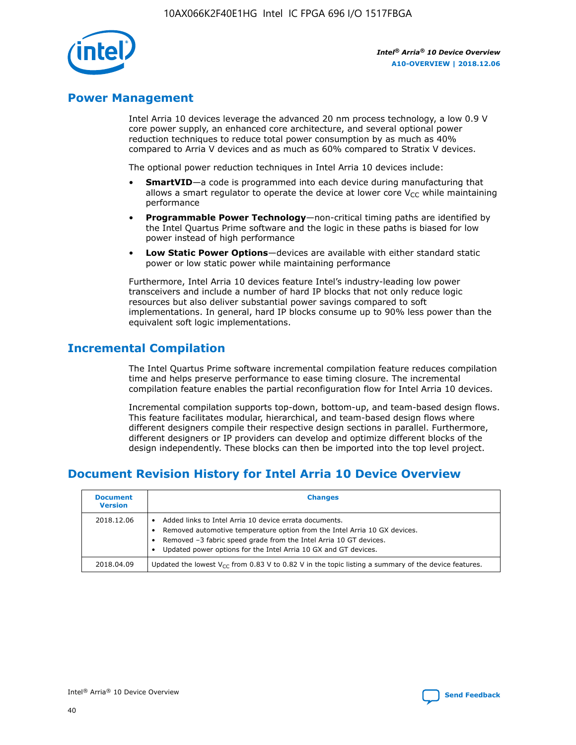

# **Power Management**

Intel Arria 10 devices leverage the advanced 20 nm process technology, a low 0.9 V core power supply, an enhanced core architecture, and several optional power reduction techniques to reduce total power consumption by as much as 40% compared to Arria V devices and as much as 60% compared to Stratix V devices.

The optional power reduction techniques in Intel Arria 10 devices include:

- **SmartVID**—a code is programmed into each device during manufacturing that allows a smart regulator to operate the device at lower core  $V_{CC}$  while maintaining performance
- **Programmable Power Technology**—non-critical timing paths are identified by the Intel Quartus Prime software and the logic in these paths is biased for low power instead of high performance
- **Low Static Power Options**—devices are available with either standard static power or low static power while maintaining performance

Furthermore, Intel Arria 10 devices feature Intel's industry-leading low power transceivers and include a number of hard IP blocks that not only reduce logic resources but also deliver substantial power savings compared to soft implementations. In general, hard IP blocks consume up to 90% less power than the equivalent soft logic implementations.

# **Incremental Compilation**

The Intel Quartus Prime software incremental compilation feature reduces compilation time and helps preserve performance to ease timing closure. The incremental compilation feature enables the partial reconfiguration flow for Intel Arria 10 devices.

Incremental compilation supports top-down, bottom-up, and team-based design flows. This feature facilitates modular, hierarchical, and team-based design flows where different designers compile their respective design sections in parallel. Furthermore, different designers or IP providers can develop and optimize different blocks of the design independently. These blocks can then be imported into the top level project.

# **Document Revision History for Intel Arria 10 Device Overview**

| <b>Document</b><br><b>Version</b> | <b>Changes</b>                                                                                                                                                                                                                                                              |
|-----------------------------------|-----------------------------------------------------------------------------------------------------------------------------------------------------------------------------------------------------------------------------------------------------------------------------|
| 2018.12.06                        | Added links to Intel Arria 10 device errata documents.<br>Removed automotive temperature option from the Intel Arria 10 GX devices.<br>Removed -3 fabric speed grade from the Intel Arria 10 GT devices.<br>Updated power options for the Intel Arria 10 GX and GT devices. |
| 2018.04.09                        | Updated the lowest $V_{CC}$ from 0.83 V to 0.82 V in the topic listing a summary of the device features.                                                                                                                                                                    |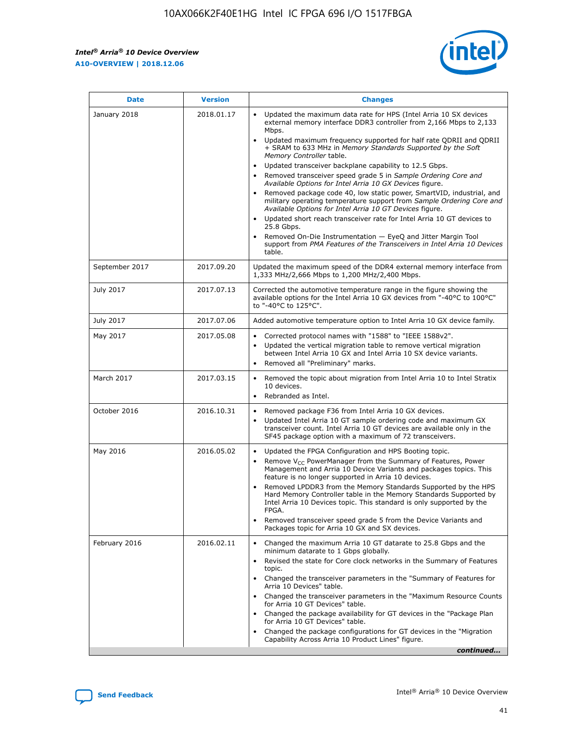*Intel® Arria® 10 Device Overview* **A10-OVERVIEW | 2018.12.06**



| <b>Date</b>    | <b>Version</b> | <b>Changes</b>                                                                                                                                                                                                                                                                                                                                                                                                                                                                                                                                                                                                                                                                                                                                                                                                                                                                                                                                                                         |
|----------------|----------------|----------------------------------------------------------------------------------------------------------------------------------------------------------------------------------------------------------------------------------------------------------------------------------------------------------------------------------------------------------------------------------------------------------------------------------------------------------------------------------------------------------------------------------------------------------------------------------------------------------------------------------------------------------------------------------------------------------------------------------------------------------------------------------------------------------------------------------------------------------------------------------------------------------------------------------------------------------------------------------------|
| January 2018   | 2018.01.17     | Updated the maximum data rate for HPS (Intel Arria 10 SX devices<br>external memory interface DDR3 controller from 2,166 Mbps to 2,133<br>Mbps.<br>Updated maximum frequency supported for half rate QDRII and QDRII<br>+ SRAM to 633 MHz in Memory Standards Supported by the Soft<br>Memory Controller table.<br>Updated transceiver backplane capability to 12.5 Gbps.<br>$\bullet$<br>Removed transceiver speed grade 5 in Sample Ordering Core and<br>$\bullet$<br>Available Options for Intel Arria 10 GX Devices figure.<br>Removed package code 40, low static power, SmartVID, industrial, and<br>military operating temperature support from Sample Ordering Core and<br>Available Options for Intel Arria 10 GT Devices figure.<br>Updated short reach transceiver rate for Intel Arria 10 GT devices to<br>25.8 Gbps.<br>Removed On-Die Instrumentation - EyeQ and Jitter Margin Tool<br>support from PMA Features of the Transceivers in Intel Arria 10 Devices<br>table. |
| September 2017 | 2017.09.20     | Updated the maximum speed of the DDR4 external memory interface from<br>1,333 MHz/2,666 Mbps to 1,200 MHz/2,400 Mbps.                                                                                                                                                                                                                                                                                                                                                                                                                                                                                                                                                                                                                                                                                                                                                                                                                                                                  |
| July 2017      | 2017.07.13     | Corrected the automotive temperature range in the figure showing the<br>available options for the Intel Arria 10 GX devices from "-40°C to 100°C"<br>to "-40°C to 125°C".                                                                                                                                                                                                                                                                                                                                                                                                                                                                                                                                                                                                                                                                                                                                                                                                              |
| July 2017      | 2017.07.06     | Added automotive temperature option to Intel Arria 10 GX device family.                                                                                                                                                                                                                                                                                                                                                                                                                                                                                                                                                                                                                                                                                                                                                                                                                                                                                                                |
| May 2017       | 2017.05.08     | Corrected protocol names with "1588" to "IEEE 1588v2".<br>$\bullet$<br>Updated the vertical migration table to remove vertical migration<br>$\bullet$<br>between Intel Arria 10 GX and Intel Arria 10 SX device variants.<br>Removed all "Preliminary" marks.<br>$\bullet$                                                                                                                                                                                                                                                                                                                                                                                                                                                                                                                                                                                                                                                                                                             |
| March 2017     | 2017.03.15     | Removed the topic about migration from Intel Arria 10 to Intel Stratix<br>$\bullet$<br>10 devices.<br>Rebranded as Intel.<br>$\bullet$                                                                                                                                                                                                                                                                                                                                                                                                                                                                                                                                                                                                                                                                                                                                                                                                                                                 |
| October 2016   | 2016.10.31     | Removed package F36 from Intel Arria 10 GX devices.<br>Updated Intel Arria 10 GT sample ordering code and maximum GX<br>$\bullet$<br>transceiver count. Intel Arria 10 GT devices are available only in the<br>SF45 package option with a maximum of 72 transceivers.                                                                                                                                                                                                                                                                                                                                                                                                                                                                                                                                                                                                                                                                                                                  |
| May 2016       | 2016.05.02     | Updated the FPGA Configuration and HPS Booting topic.<br>$\bullet$<br>Remove V <sub>CC</sub> PowerManager from the Summary of Features, Power<br>Management and Arria 10 Device Variants and packages topics. This<br>feature is no longer supported in Arria 10 devices.<br>Removed LPDDR3 from the Memory Standards Supported by the HPS<br>Hard Memory Controller table in the Memory Standards Supported by<br>Intel Arria 10 Devices topic. This standard is only supported by the<br>FPGA.<br>Removed transceiver speed grade 5 from the Device Variants and<br>Packages topic for Arria 10 GX and SX devices.                                                                                                                                                                                                                                                                                                                                                                   |
| February 2016  | 2016.02.11     | Changed the maximum Arria 10 GT datarate to 25.8 Gbps and the<br>minimum datarate to 1 Gbps globally.<br>Revised the state for Core clock networks in the Summary of Features<br>$\bullet$<br>topic.<br>Changed the transceiver parameters in the "Summary of Features for<br>$\bullet$<br>Arria 10 Devices" table.<br>• Changed the transceiver parameters in the "Maximum Resource Counts<br>for Arria 10 GT Devices" table.<br>Changed the package availability for GT devices in the "Package Plan<br>for Arria 10 GT Devices" table.<br>Changed the package configurations for GT devices in the "Migration"<br>Capability Across Arria 10 Product Lines" figure.<br>continued                                                                                                                                                                                                                                                                                                    |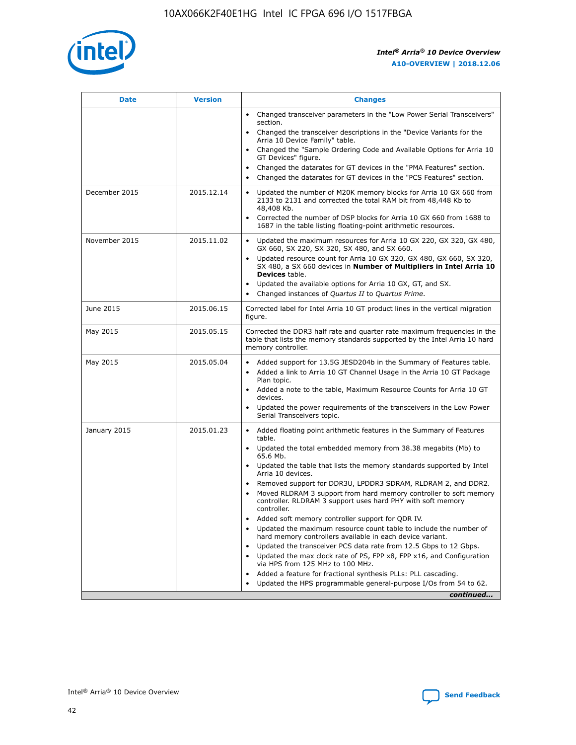

| <b>Date</b>   | <b>Version</b> | <b>Changes</b>                                                                                                                                                               |
|---------------|----------------|------------------------------------------------------------------------------------------------------------------------------------------------------------------------------|
|               |                | • Changed transceiver parameters in the "Low Power Serial Transceivers"<br>section.                                                                                          |
|               |                | • Changed the transceiver descriptions in the "Device Variants for the<br>Arria 10 Device Family" table.                                                                     |
|               |                | Changed the "Sample Ordering Code and Available Options for Arria 10<br>$\bullet$<br>GT Devices" figure.                                                                     |
|               |                | Changed the datarates for GT devices in the "PMA Features" section.                                                                                                          |
|               |                | Changed the datarates for GT devices in the "PCS Features" section.<br>$\bullet$                                                                                             |
| December 2015 | 2015.12.14     | Updated the number of M20K memory blocks for Arria 10 GX 660 from<br>2133 to 2131 and corrected the total RAM bit from 48,448 Kb to<br>48,408 Kb.                            |
|               |                | Corrected the number of DSP blocks for Arria 10 GX 660 from 1688 to<br>1687 in the table listing floating-point arithmetic resources.                                        |
| November 2015 | 2015.11.02     | Updated the maximum resources for Arria 10 GX 220, GX 320, GX 480,<br>$\bullet$<br>GX 660, SX 220, SX 320, SX 480, and SX 660.                                               |
|               |                | • Updated resource count for Arria 10 GX 320, GX 480, GX 660, SX 320,<br>SX 480, a SX 660 devices in Number of Multipliers in Intel Arria 10<br><b>Devices</b> table.        |
|               |                | Updated the available options for Arria 10 GX, GT, and SX.                                                                                                                   |
|               |                | Changed instances of Quartus II to Quartus Prime.<br>$\bullet$                                                                                                               |
| June 2015     | 2015.06.15     | Corrected label for Intel Arria 10 GT product lines in the vertical migration<br>figure.                                                                                     |
| May 2015      | 2015.05.15     | Corrected the DDR3 half rate and quarter rate maximum frequencies in the<br>table that lists the memory standards supported by the Intel Arria 10 hard<br>memory controller. |
| May 2015      | 2015.05.04     | • Added support for 13.5G JESD204b in the Summary of Features table.                                                                                                         |
|               |                | • Added a link to Arria 10 GT Channel Usage in the Arria 10 GT Package<br>Plan topic.                                                                                        |
|               |                | • Added a note to the table, Maximum Resource Counts for Arria 10 GT<br>devices.                                                                                             |
|               |                | • Updated the power requirements of the transceivers in the Low Power<br>Serial Transceivers topic.                                                                          |
| January 2015  | 2015.01.23     | • Added floating point arithmetic features in the Summary of Features<br>table.                                                                                              |
|               |                | • Updated the total embedded memory from 38.38 megabits (Mb) to<br>65.6 Mb.                                                                                                  |
|               |                | • Updated the table that lists the memory standards supported by Intel<br>Arria 10 devices.                                                                                  |
|               |                | Removed support for DDR3U, LPDDR3 SDRAM, RLDRAM 2, and DDR2.                                                                                                                 |
|               |                | Moved RLDRAM 3 support from hard memory controller to soft memory<br>controller. RLDRAM 3 support uses hard PHY with soft memory<br>controller.                              |
|               |                | Added soft memory controller support for QDR IV.<br>٠                                                                                                                        |
|               |                | Updated the maximum resource count table to include the number of<br>hard memory controllers available in each device variant.                                               |
|               |                | Updated the transceiver PCS data rate from 12.5 Gbps to 12 Gbps.<br>$\bullet$                                                                                                |
|               |                | Updated the max clock rate of PS, FPP x8, FPP x16, and Configuration<br>via HPS from 125 MHz to 100 MHz.                                                                     |
|               |                | Added a feature for fractional synthesis PLLs: PLL cascading.                                                                                                                |
|               |                | Updated the HPS programmable general-purpose I/Os from 54 to 62.<br>$\bullet$                                                                                                |
|               |                | continued                                                                                                                                                                    |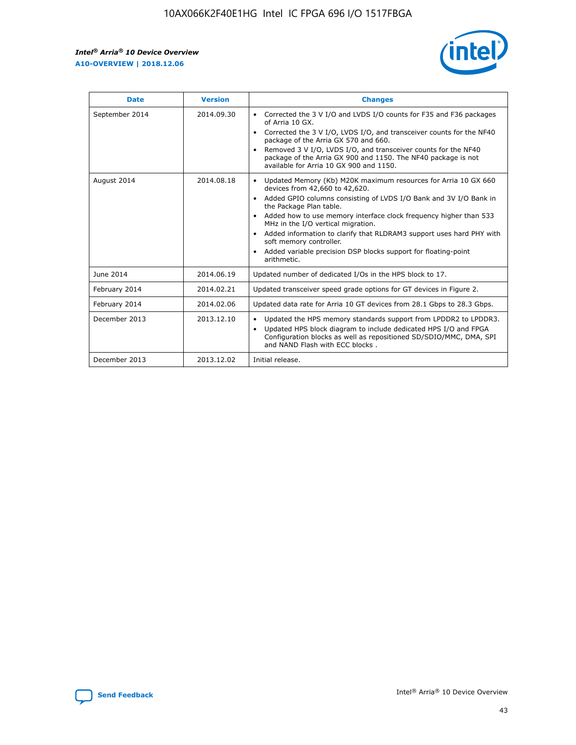r



| <b>Date</b>    | <b>Version</b> | <b>Changes</b>                                                                                                                                                                                                                                                                                                                                                                                                                                                                                                                                      |
|----------------|----------------|-----------------------------------------------------------------------------------------------------------------------------------------------------------------------------------------------------------------------------------------------------------------------------------------------------------------------------------------------------------------------------------------------------------------------------------------------------------------------------------------------------------------------------------------------------|
| September 2014 | 2014.09.30     | Corrected the 3 V I/O and LVDS I/O counts for F35 and F36 packages<br>of Arria 10 GX.<br>Corrected the 3 V I/O, LVDS I/O, and transceiver counts for the NF40<br>$\bullet$<br>package of the Arria GX 570 and 660.<br>Removed 3 V I/O, LVDS I/O, and transceiver counts for the NF40<br>package of the Arria GX 900 and 1150. The NF40 package is not<br>available for Arria 10 GX 900 and 1150.                                                                                                                                                    |
| August 2014    | 2014.08.18     | Updated Memory (Kb) M20K maximum resources for Arria 10 GX 660<br>devices from 42,660 to 42,620.<br>Added GPIO columns consisting of LVDS I/O Bank and 3V I/O Bank in<br>$\bullet$<br>the Package Plan table.<br>Added how to use memory interface clock frequency higher than 533<br>$\bullet$<br>MHz in the I/O vertical migration.<br>Added information to clarify that RLDRAM3 support uses hard PHY with<br>$\bullet$<br>soft memory controller.<br>Added variable precision DSP blocks support for floating-point<br>$\bullet$<br>arithmetic. |
| June 2014      | 2014.06.19     | Updated number of dedicated I/Os in the HPS block to 17.                                                                                                                                                                                                                                                                                                                                                                                                                                                                                            |
| February 2014  | 2014.02.21     | Updated transceiver speed grade options for GT devices in Figure 2.                                                                                                                                                                                                                                                                                                                                                                                                                                                                                 |
| February 2014  | 2014.02.06     | Updated data rate for Arria 10 GT devices from 28.1 Gbps to 28.3 Gbps.                                                                                                                                                                                                                                                                                                                                                                                                                                                                              |
| December 2013  | 2013.12.10     | Updated the HPS memory standards support from LPDDR2 to LPDDR3.<br>Updated HPS block diagram to include dedicated HPS I/O and FPGA<br>$\bullet$<br>Configuration blocks as well as repositioned SD/SDIO/MMC, DMA, SPI<br>and NAND Flash with ECC blocks.                                                                                                                                                                                                                                                                                            |
| December 2013  | 2013.12.02     | Initial release.                                                                                                                                                                                                                                                                                                                                                                                                                                                                                                                                    |